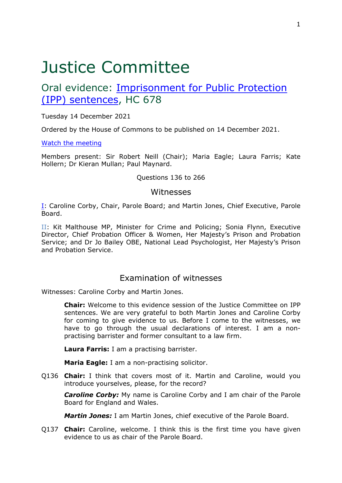# Justice Committee

# Oral evidence: [Imprisonment](https://committees.parliament.uk/work/1509/imprisonment-for-public-protection-ipp-sentences/) [for](https://committees.parliament.uk/work/1509/imprisonment-for-public-protection-ipp-sentences/) [Public](https://committees.parliament.uk/work/1509/imprisonment-for-public-protection-ipp-sentences/) [Protection](https://committees.parliament.uk/work/1509/imprisonment-for-public-protection-ipp-sentences/) [\(IPP\)](https://committees.parliament.uk/work/1509/imprisonment-for-public-protection-ipp-sentences/) [sentences](https://committees.parliament.uk/work/1509/imprisonment-for-public-protection-ipp-sentences/), HC 678

Tuesday 14 December 2021

Ordered by the House of Commons to be published on 14 December 2021.

[Watch](https://www.parliamentlive.tv/Event/Index/a0275c54-dda0-486e-b6a1-af4cbfc549d4) [the](https://www.parliamentlive.tv/Event/Index/a0275c54-dda0-486e-b6a1-af4cbfc549d4) [meeting](https://www.parliamentlive.tv/Event/Index/a0275c54-dda0-486e-b6a1-af4cbfc549d4)

Members present: Sir Robert Neill (Chair); Maria Eagle; Laura Farris; Kate Hollern; Dr Kieran Mullan; Paul Maynard.

#### Questions 136 to 266

### Witnesses

[I:](#page-0-0) Caroline Corby, Chair, Parole Board; and Martin Jones, Chief Executive, Parole Board.

II: Kit Malthouse MP, Minister for Crime and Policing; Sonia Flynn, Executive Director, Chief Probation Officer & Women, Her Majesty's Prison and Probation Service; and Dr Jo Bailey OBE, National Lead Psychologist, Her Majesty's Prison and Probation Service.

# <span id="page-0-0"></span>Examination of witnesses

Witnesses: Caroline Corby and Martin Jones.

**Chair:** Welcome to this evidence session of the Justice Committee on IPP sentences. We are very grateful to both Martin Jones and Caroline Corby for coming to give evidence to us. Before I come to the witnesses, we have to go through the usual declarations of interest. I am a nonpractising barrister and former consultant to a law firm.

**Laura Farris:** I am a practising barrister.

**Maria Eagle:** I am a non-practising solicitor.

Q136 **Chair:** I think that covers most of it. Martin and Caroline, would you introduce yourselves, please, for the record?

*Caroline Corby:* My name is Caroline Corby and I am chair of the Parole Board for England and Wales.

*Martin Jones:* I am Martin Jones, chief executive of the Parole Board.

Q137 **Chair:** Caroline, welcome. I think this is the first time you have given evidence to us as chair of the Parole Board.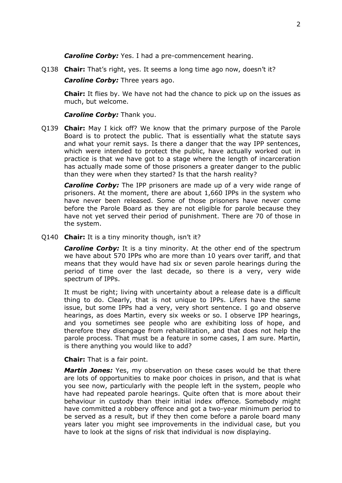*Caroline Corby:* Yes. I had a pre-commencement hearing.

Q138 **Chair:** That's right, yes. It seems a long time ago now, doesn't it?

*Caroline Corby: Three years ago.* 

**Chair:** It flies by. We have not had the chance to pick up on the issues as much, but welcome.

#### *Caroline Corby:* Thank you.

Q139 **Chair:** May I kick off? We know that the primary purpose of the Parole Board is to protect the public. That is essentially what the statute says and what your remit says. Is there a danger that the way IPP sentences, which were intended to protect the public, have actually worked out in practice is that we have got to a stage where the length of incarceration has actually made some of those prisoners a greater danger to the public than they were when they started? Is that the harsh reality?

*Caroline Corby:* The IPP prisoners are made up of a very wide range of prisoners. At the moment, there are about 1,660 IPPs in the system who have never been released. Some of those prisoners have never come before the Parole Board as they are not eligible for parole because they have not yet served their period of punishment. There are 70 of those in the system.

Q140 **Chair:** It is a tiny minority though, isn't it?

*Caroline Corby:* It is a tiny minority. At the other end of the spectrum we have about 570 IPPs who are more than 10 years over tariff, and that means that they would have had six or seven parole hearings during the period of time over the last decade, so there is a very, very wide spectrum of IPPs.

It must be right; living with uncertainty about a release date is a difficult thing to do. Clearly, that is not unique to IPPs. Lifers have the same issue, but some IPPs had a very, very short sentence. I go and observe hearings, as does Martin, every six weeks or so. I observe IPP hearings, and you sometimes see people who are exhibiting loss of hope, and therefore they disengage from rehabilitation, and that does not help the parole process. That must be a feature in some cases, I am sure. Martin, is there anything you would like to add?

**Chair:** That is a fair point.

*Martin Jones:* Yes, my observation on these cases would be that there are lots of opportunities to make poor choices in prison, and that is what you see now, particularly with the people left in the system, people who have had repeated parole hearings. Quite often that is more about their behaviour in custody than their initial index offence. Somebody might have committed a robbery offence and got a two-year minimum period to be served as a result, but if they then come before a parole board many years later you might see improvements in the individual case, but you have to look at the signs of risk that individual is now displaying.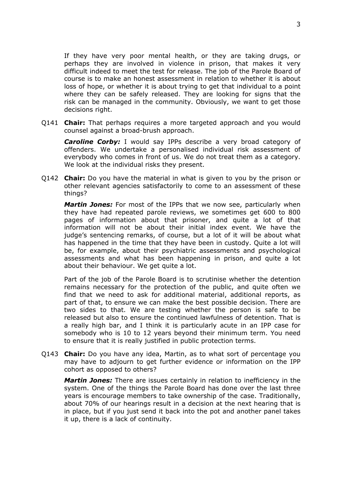If they have very poor mental health, or they are taking drugs, or perhaps they are involved in violence in prison, that makes it very difficult indeed to meet the test for release. The job of the Parole Board of course is to make an honest assessment in relation to whether it is about loss of hope, or whether it is about trying to get that individual to a point where they can be safely released. They are looking for signs that the risk can be managed in the community. Obviously, we want to get those decisions right.

Q141 **Chair:** That perhaps requires a more targeted approach and you would counsel against a broad-brush approach.

*Caroline Corby:* I would say IPPs describe a very broad category of offenders. We undertake a personalised individual risk assessment of everybody who comes in front of us. We do not treat them as a category. We look at the individual risks they present.

Q142 **Chair:** Do you have the material in what is given to you by the prison or other relevant agencies satisfactorily to come to an assessment of these things?

*Martin Jones:* For most of the IPPs that we now see, particularly when they have had repeated parole reviews, we sometimes get 600 to 800 pages of information about that prisoner, and quite a lot of that information will not be about their initial index event. We have the judge's sentencing remarks, of course, but a lot of it will be about what has happened in the time that they have been in custody. Quite a lot will be, for example, about their psychiatric assessments and psychological assessments and what has been happening in prison, and quite a lot about their behaviour. We get quite a lot.

Part of the job of the Parole Board is to scrutinise whether the detention remains necessary for the protection of the public, and quite often we find that we need to ask for additional material, additional reports, as part of that, to ensure we can make the best possible decision. There are two sides to that. We are testing whether the person is safe to be released but also to ensure the continued lawfulness of detention. That is a really high bar, and I think it is particularly acute in an IPP case for somebody who is 10 to 12 years beyond their minimum term. You need to ensure that it is really justified in public protection terms.

Q143 **Chair:** Do you have any idea, Martin, as to what sort of percentage you may have to adjourn to get further evidence or information on the IPP cohort as opposed to others?

*Martin Jones:* There are issues certainly in relation to inefficiency in the system. One of the things the Parole Board has done over the last three years is encourage members to take ownership of the case. Traditionally, about 70% of our hearings result in a decision at the next hearing that is in place, but if you just send it back into the pot and another panel takes it up, there is a lack of continuity.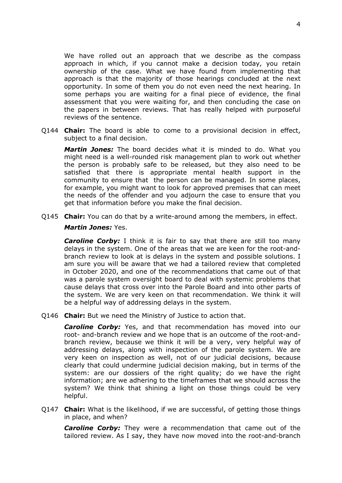We have rolled out an approach that we describe as the compass approach in which, if you cannot make a decision today, you retain ownership of the case. What we have found from implementing that approach is that the majority of those hearings concluded at the next opportunity. In some of them you do not even need the next hearing. In some perhaps you are waiting for a final piece of evidence, the final assessment that you were waiting for, and then concluding the case on the papers in between reviews. That has really helped with purposeful reviews of the sentence.

Q144 **Chair:** The board is able to come to a provisional decision in effect, subject to a final decision.

*Martin Jones:* The board decides what it is minded to do. What you might need is a well-rounded risk management plan to work out whether the person is probably safe to be released, but they also need to be satisfied that there is appropriate mental health support in the community to ensure that the person can be managed. In some places, for example, you might want to look for approved premises that can meet the needs of the offender and you adjourn the case to ensure that you get that information before you make the final decision.

Q145 **Chair:** You can do that by a write-around among the members, in effect.

#### *Martin Jones:* Yes.

*Caroline Corby:* I think it is fair to say that there are still too many delays in the system. One of the areas that we are keen for the root-andbranch review to look at is delays in the system and possible solutions. I am sure you will be aware that we had a tailored review that completed in October 2020, and one of the recommendations that came out of that was a parole system oversight board to deal with systemic problems that cause delays that cross over into the Parole Board and into other parts of the system. We are very keen on that recommendation. We think it will be a helpful way of addressing delays in the system.

Q146 **Chair:** But we need the Ministry of Justice to action that.

*Caroline Corby:* Yes, and that recommendation has moved into our root- and-branch review and we hope that is an outcome of the root-andbranch review, because we think it will be a very, very helpful way of addressing delays, along with inspection of the parole system. We are very keen on inspection as well, not of our judicial decisions, because clearly that could undermine judicial decision making, but in terms of the system: are our dossiers of the right quality; do we have the right information; are we adhering to the timeframes that we should across the system? We think that shining a light on those things could be very helpful.

Q147 **Chair:** What is the likelihood, if we are successful, of getting those things in place, and when?

*Caroline Corby:* They were a recommendation that came out of the tailored review. As I say, they have now moved into the root-and-branch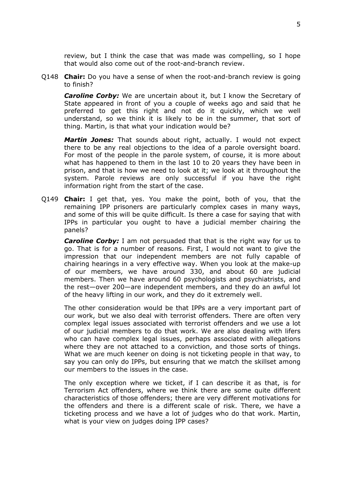review, but I think the case that was made was compelling, so I hope that would also come out of the root-and-branch review.

Q148 **Chair:** Do you have a sense of when the root-and-branch review is going to finish?

*Caroline Corby:* We are uncertain about it, but I know the Secretary of State appeared in front of you a couple of weeks ago and said that he preferred to get this right and not do it quickly, which we well understand, so we think it is likely to be in the summer, that sort of thing. Martin, is that what your indication would be?

*Martin Jones:* That sounds about right, actually. I would not expect there to be any real objections to the idea of a parole oversight board. For most of the people in the parole system, of course, it is more about what has happened to them in the last 10 to 20 years they have been in prison, and that is how we need to look at it; we look at it throughout the system. Parole reviews are only successful if you have the right information right from the start of the case.

Q149 **Chair:** I get that, yes. You make the point, both of you, that the remaining IPP prisoners are particularly complex cases in many ways, and some of this will be quite difficult. Is there a case for saying that with IPPs in particular you ought to have a judicial member chairing the panels?

*Caroline Corby:* I am not persuaded that that is the right way for us to go. That is for a number of reasons. First, I would not want to give the impression that our independent members are not fully capable of chairing hearings in a very effective way. When you look at the make-up of our members, we have around 330, and about 60 are judicial members. Then we have around 60 psychologists and psychiatrists, and the rest—over 200—are independent members, and they do an awful lot of the heavy lifting in our work, and they do it extremely well.

The other consideration would be that IPPs are a very important part of our work, but we also deal with terrorist offenders. There are often very complex legal issues associated with terrorist offenders and we use a lot of our judicial members to do that work. We are also dealing with lifers who can have complex legal issues, perhaps associated with allegations where they are not attached to a conviction, and those sorts of things. What we are much keener on doing is not ticketing people in that way, to say you can only do IPPs, but ensuring that we match the skillset among our members to the issues in the case.

The only exception where we ticket, if I can describe it as that, is for Terrorism Act offenders, where we think there are some quite different characteristics of those offenders; there are very different motivations for the offenders and there is a different scale of risk. There, we have a ticketing process and we have a lot of judges who do that work. Martin, what is your view on judges doing IPP cases?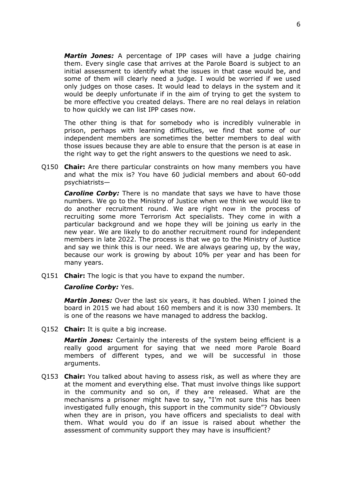*Martin Jones:* A percentage of IPP cases will have a judge chairing them. Every single case that arrives at the Parole Board is subject to an initial assessment to identify what the issues in that case would be, and some of them will clearly need a judge. I would be worried if we used only judges on those cases. It would lead to delays in the system and it would be deeply unfortunate if in the aim of trying to get the system to be more effective you created delays. There are no real delays in relation to how quickly we can list IPP cases now.

The other thing is that for somebody who is incredibly vulnerable in prison, perhaps with learning difficulties, we find that some of our independent members are sometimes the better members to deal with those issues because they are able to ensure that the person is at ease in the right way to get the right answers to the questions we need to ask.

Q150 **Chair:** Are there particular constraints on how many members you have and what the mix is? You have 60 judicial members and about 60-odd psychiatrists—

*Caroline Corby:* There is no mandate that says we have to have those numbers. We go to the Ministry of Justice when we think we would like to do another recruitment round. We are right now in the process of recruiting some more Terrorism Act specialists. They come in with a particular background and we hope they will be joining us early in the new year. We are likely to do another recruitment round for independent members in late 2022. The process is that we go to the Ministry of Justice and say we think this is our need. We are always gearing up, by the way, because our work is growing by about 10% per year and has been for many years.

Q151 **Chair:** The logic is that you have to expand the number.

#### *Caroline Corby:* Yes.

*Martin Jones:* Over the last six years, it has doubled. When I joined the board in 2015 we had about 160 members and it is now 330 members. It is one of the reasons we have managed to address the backlog.

Q152 **Chair:** It is quite a big increase.

*Martin Jones:* Certainly the interests of the system being efficient is a really good argument for saying that we need more Parole Board members of different types, and we will be successful in those arguments.

Q153 **Chair:** You talked about having to assess risk, as well as where they are at the moment and everything else. That must involve things like support in the community and so on, if they are released. What are the mechanisms a prisoner might have to say, "I'm not sure this has been investigated fully enough, this support in the community side"? Obviously when they are in prison, you have officers and specialists to deal with them. What would you do if an issue is raised about whether the assessment of community support they may have is insufficient?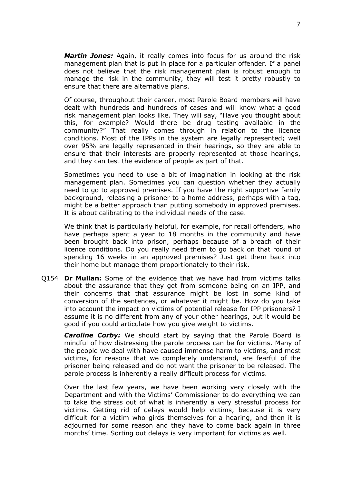*Martin Jones:* Again, it really comes into focus for us around the risk management plan that is put in place for a particular offender. If a panel does not believe that the risk management plan is robust enough to manage the risk in the community, they will test it pretty robustly to ensure that there are alternative plans.

Of course, throughout their career, most Parole Board members will have dealt with hundreds and hundreds of cases and will know what a good risk management plan looks like. They will say, "Have you thought about this, for example? Would there be drug testing available in the community?" That really comes through in relation to the licence conditions. Most of the IPPs in the system are legally represented; well over 95% are legally represented in their hearings, so they are able to ensure that their interests are properly represented at those hearings, and they can test the evidence of people as part of that.

Sometimes you need to use a bit of imagination in looking at the risk management plan. Sometimes you can question whether they actually need to go to approved premises. If you have the right supportive family background, releasing a prisoner to a home address, perhaps with a tag, might be a better approach than putting somebody in approved premises. It is about calibrating to the individual needs of the case.

We think that is particularly helpful, for example, for recall offenders, who have perhaps spent a year to 18 months in the community and have been brought back into prison, perhaps because of a breach of their licence conditions. Do you really need them to go back on that round of spending 16 weeks in an approved premises? Just get them back into their home but manage them proportionately to their risk.

Q154 **Dr Mullan:** Some of the evidence that we have had from victims talks about the assurance that they get from someone being on an IPP, and their concerns that that assurance might be lost in some kind of conversion of the sentences, or whatever it might be. How do you take into account the impact on victims of potential release for IPP prisoners? I assume it is no different from any of your other hearings, but it would be good if you could articulate how you give weight to victims.

*Caroline Corby:* We should start by saying that the Parole Board is mindful of how distressing the parole process can be for victims. Many of the people we deal with have caused immense harm to victims, and most victims, for reasons that we completely understand, are fearful of the prisoner being released and do not want the prisoner to be released. The parole process is inherently a really difficult process for victims.

Over the last few years, we have been working very closely with the Department and with the Victims' Commissioner to do everything we can to take the stress out of what is inherently a very stressful process for victims. Getting rid of delays would help victims, because it is very difficult for a victim who girds themselves for a hearing, and then it is adjourned for some reason and they have to come back again in three months' time. Sorting out delays is very important for victims as well.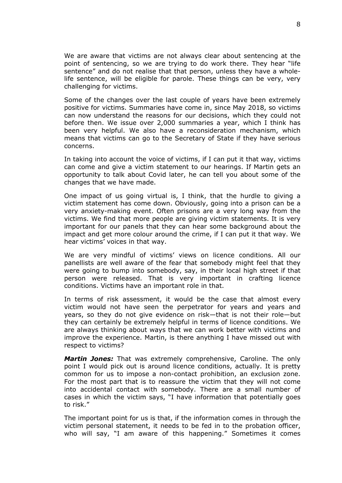We are aware that victims are not always clear about sentencing at the point of sentencing, so we are trying to do work there. They hear "life sentence" and do not realise that that person, unless they have a wholelife sentence, will be eligible for parole. These things can be very, very challenging for victims.

Some of the changes over the last couple of years have been extremely positive for victims. Summaries have come in, since May 2018, so victims can now understand the reasons for our decisions, which they could not before then. We issue over 2,000 summaries a year, which I think has been very helpful. We also have a reconsideration mechanism, which means that victims can go to the Secretary of State if they have serious concerns.

In taking into account the voice of victims, if I can put it that way, victims can come and give a victim statement to our hearings. If Martin gets an opportunity to talk about Covid later, he can tell you about some of the changes that we have made.

One impact of us going virtual is, I think, that the hurdle to giving a victim statement has come down. Obviously, going into a prison can be a very anxiety-making event. Often prisons are a very long way from the victims. We find that more people are giving victim statements. It is very important for our panels that they can hear some background about the impact and get more colour around the crime, if I can put it that way. We hear victims' voices in that way.

We are very mindful of victims' views on licence conditions. All our panellists are well aware of the fear that somebody might feel that they were going to bump into somebody, say, in their local high street if that person were released. That is very important in crafting licence conditions. Victims have an important role in that.

In terms of risk assessment, it would be the case that almost every victim would not have seen the perpetrator for years and years and years, so they do not give evidence on risk—that is not their role—but they can certainly be extremely helpful in terms of licence conditions. We are always thinking about ways that we can work better with victims and improve the experience. Martin, is there anything I have missed out with respect to victims?

*Martin Jones:* That was extremely comprehensive, Caroline. The only point I would pick out is around licence conditions, actually. It is pretty common for us to impose a non-contact prohibition, an exclusion zone. For the most part that is to reassure the victim that they will not come into accidental contact with somebody. There are a small number of cases in which the victim says, "I have information that potentially goes to risk."

The important point for us is that, if the information comes in through the victim personal statement, it needs to be fed in to the probation officer, who will say, "I am aware of this happening." Sometimes it comes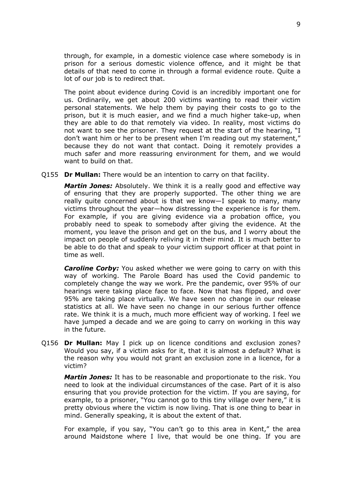through, for example, in a domestic violence case where somebody is in prison for a serious domestic violence offence, and it might be that details of that need to come in through a formal evidence route. Quite a lot of our job is to redirect that.

The point about evidence during Covid is an incredibly important one for us. Ordinarily, we get about 200 victims wanting to read their victim personal statements. We help them by paying their costs to go to the prison, but it is much easier, and we find a much higher take-up, when they are able to do that remotely via video. In reality, most victims do not want to see the prisoner. They request at the start of the hearing, "I don't want him or her to be present when I'm reading out my statement," because they do not want that contact. Doing it remotely provides a much safer and more reassuring environment for them, and we would want to build on that.

Q155 **Dr Mullan:** There would be an intention to carry on that facility.

*Martin Jones:* Absolutely. We think it is a really good and effective way of ensuring that they are properly supported. The other thing we are really quite concerned about is that we know—I speak to many, many victims throughout the year—how distressing the experience is for them. For example, if you are giving evidence via a probation office, you probably need to speak to somebody after giving the evidence. At the moment, you leave the prison and get on the bus, and I worry about the impact on people of suddenly reliving it in their mind. It is much better to be able to do that and speak to your victim support officer at that point in time as well.

*Caroline Corby:* You asked whether we were going to carry on with this way of working. The Parole Board has used the Covid pandemic to completely change the way we work. Pre the pandemic, over 95% of our hearings were taking place face to face. Now that has flipped, and over 95% are taking place virtually. We have seen no change in our release statistics at all. We have seen no change in our serious further offence rate. We think it is a much, much more efficient way of working. I feel we have jumped a decade and we are going to carry on working in this way in the future.

Q156 **Dr Mullan:** May I pick up on licence conditions and exclusion zones? Would you say, if a victim asks for it, that it is almost a default? What is the reason why you would not grant an exclusion zone in a licence, for a victim?

*Martin Jones:* It has to be reasonable and proportionate to the risk. You need to look at the individual circumstances of the case. Part of it is also ensuring that you provide protection for the victim. If you are saying, for example, to a prisoner, "You cannot go to this tiny village over here," it is pretty obvious where the victim is now living. That is one thing to bear in mind. Generally speaking, it is about the extent of that.

For example, if you say, "You can't go to this area in Kent," the area around Maidstone where I live, that would be one thing. If you are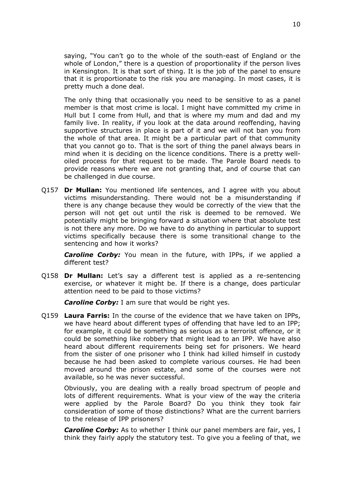saying, "You can't go to the whole of the south-east of England or the whole of London," there is a question of proportionality if the person lives in Kensington. It is that sort of thing. It is the job of the panel to ensure that it is proportionate to the risk you are managing. In most cases, it is pretty much a done deal.

The only thing that occasionally you need to be sensitive to as a panel member is that most crime is local. I might have committed my crime in Hull but I come from Hull, and that is where my mum and dad and my family live. In reality, if you look at the data around reoffending, having supportive structures in place is part of it and we will not ban you from the whole of that area. It might be a particular part of that community that you cannot go to. That is the sort of thing the panel always bears in mind when it is deciding on the licence conditions. There is a pretty welloiled process for that request to be made. The Parole Board needs to provide reasons where we are not granting that, and of course that can be challenged in due course.

Q157 **Dr Mullan:** You mentioned life sentences, and I agree with you about victims misunderstanding. There would not be a misunderstanding if there is any change because they would be correctly of the view that the person will not get out until the risk is deemed to be removed. We potentially might be bringing forward a situation where that absolute test is not there any more. Do we have to do anything in particular to support victims specifically because there is some transitional change to the sentencing and how it works?

*Caroline Corby:* You mean in the future, with IPPs, if we applied a different test?

Q158 **Dr Mullan:** Let's say a different test is applied as a re-sentencing exercise, or whatever it might be. If there is a change, does particular attention need to be paid to those victims?

*Caroline Corby:* I am sure that would be right yes.

Q159 **Laura Farris:** In the course of the evidence that we have taken on IPPs, we have heard about different types of offending that have led to an IPP; for example, it could be something as serious as a terrorist offence, or it could be something like robbery that might lead to an IPP. We have also heard about different requirements being set for prisoners. We heard from the sister of one prisoner who I think had killed himself in custody because he had been asked to complete various courses. He had been moved around the prison estate, and some of the courses were not available, so he was never successful.

Obviously, you are dealing with a really broad spectrum of people and lots of different requirements. What is your view of the way the criteria were applied by the Parole Board? Do you think they took fair consideration of some of those distinctions? What are the current barriers to the release of IPP prisoners?

*Caroline Corby:* As to whether I think our panel members are fair, yes, I think they fairly apply the statutory test. To give you a feeling of that, we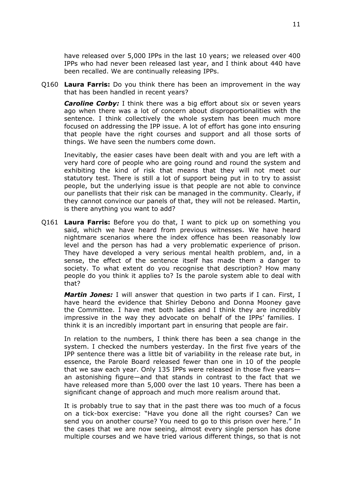have released over 5,000 IPPs in the last 10 years; we released over 400 IPPs who had never been released last year, and I think about 440 have been recalled. We are continually releasing IPPs.

Q160 **Laura Farris:** Do you think there has been an improvement in the way that has been handled in recent years?

*Caroline Corby:* I think there was a big effort about six or seven years ago when there was a lot of concern about disproportionalities with the sentence. I think collectively the whole system has been much more focused on addressing the IPP issue. A lot of effort has gone into ensuring that people have the right courses and support and all those sorts of things. We have seen the numbers come down.

Inevitably, the easier cases have been dealt with and you are left with a very hard core of people who are going round and round the system and exhibiting the kind of risk that means that they will not meet our statutory test. There is still a lot of support being put in to try to assist people, but the underlying issue is that people are not able to convince our panellists that their risk can be managed in the community. Clearly, if they cannot convince our panels of that, they will not be released. Martin, is there anything you want to add?

Q161 **Laura Farris:** Before you do that, I want to pick up on something you said, which we have heard from previous witnesses. We have heard nightmare scenarios where the index offence has been reasonably low level and the person has had a very problematic experience of prison. They have developed a very serious mental health problem, and, in a sense, the effect of the sentence itself has made them a danger to society. To what extent do you recognise that description? How many people do you think it applies to? Is the parole system able to deal with that?

*Martin Jones:* I will answer that question in two parts if I can. First, I have heard the evidence that Shirley Debono and Donna Mooney gave the Committee. I have met both ladies and I think they are incredibly impressive in the way they advocate on behalf of the IPPs' families. I think it is an incredibly important part in ensuring that people are fair.

In relation to the numbers, I think there has been a sea change in the system. I checked the numbers yesterday. In the first five years of the IPP sentence there was a little bit of variability in the release rate but, in essence, the Parole Board released fewer than one in 10 of the people that we saw each year. Only 135 IPPs were released in those five years an astonishing figure—and that stands in contrast to the fact that we have released more than 5,000 over the last 10 years. There has been a significant change of approach and much more realism around that.

It is probably true to say that in the past there was too much of a focus on a tick-box exercise: "Have you done all the right courses? Can we send you on another course? You need to go to this prison over here." In the cases that we are now seeing, almost every single person has done multiple courses and we have tried various different things, so that is not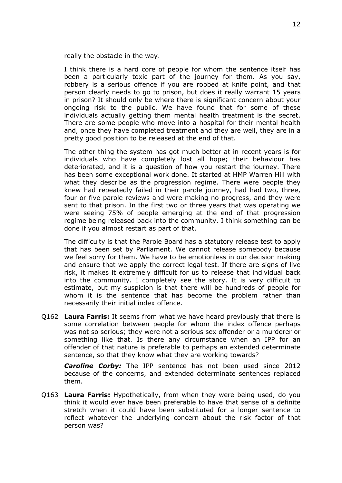really the obstacle in the way.

I think there is a hard core of people for whom the sentence itself has been a particularly toxic part of the journey for them. As you say, robbery is a serious offence if you are robbed at knife point, and that person clearly needs to go to prison, but does it really warrant 15 years in prison? It should only be where there is significant concern about your ongoing risk to the public. We have found that for some of these individuals actually getting them mental health treatment is the secret. There are some people who move into a hospital for their mental health and, once they have completed treatment and they are well, they are in a pretty good position to be released at the end of that.

The other thing the system has got much better at in recent years is for individuals who have completely lost all hope; their behaviour has deteriorated, and it is a question of how you restart the journey. There has been some exceptional work done. It started at HMP Warren Hill with what they describe as the progression regime. There were people they knew had repeatedly failed in their parole journey, had had two, three, four or five parole reviews and were making no progress, and they were sent to that prison. In the first two or three years that was operating we were seeing 75% of people emerging at the end of that progression regime being released back into the community. I think something can be done if you almost restart as part of that.

The difficulty is that the Parole Board has a statutory release test to apply that has been set by Parliament. We cannot release somebody because we feel sorry for them. We have to be emotionless in our decision making and ensure that we apply the correct legal test. If there are signs of live risk, it makes it extremely difficult for us to release that individual back into the community. I completely see the story. It is very difficult to estimate, but my suspicion is that there will be hundreds of people for whom it is the sentence that has become the problem rather than necessarily their initial index offence.

Q162 **Laura Farris:** It seems from what we have heard previously that there is some correlation between people for whom the index offence perhaps was not so serious; they were not a serious sex offender or a murderer or something like that. Is there any circumstance when an IPP for an offender of that nature is preferable to perhaps an extended determinate sentence, so that they know what they are working towards?

**Caroline Corby:** The IPP sentence has not been used since 2012 because of the concerns, and extended determinate sentences replaced them.

Q163 **Laura Farris:** Hypothetically, from when they were being used, do you think it would ever have been preferable to have that sense of a definite stretch when it could have been substituted for a longer sentence to reflect whatever the underlying concern about the risk factor of that person was?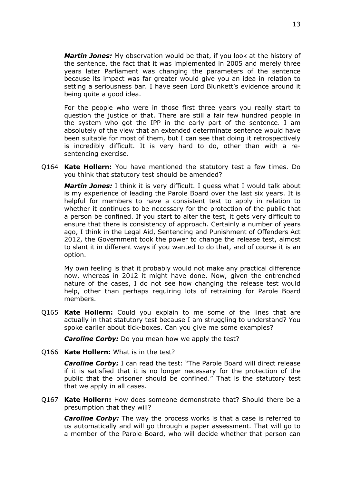*Martin Jones:* My observation would be that, if you look at the history of the sentence, the fact that it was implemented in 2005 and merely three years later Parliament was changing the parameters of the sentence because its impact was far greater would give you an idea in relation to setting a seriousness bar. I have seen Lord Blunkett's evidence around it being quite a good idea.

For the people who were in those first three years you really start to question the justice of that. There are still a fair few hundred people in the system who got the IPP in the early part of the sentence. I am absolutely of the view that an extended determinate sentence would have been suitable for most of them, but I can see that doing it retrospectively is incredibly difficult. It is very hard to do, other than with a resentencing exercise.

Q164 **Kate Hollern:** You have mentioned the statutory test a few times. Do you think that statutory test should be amended?

*Martin Jones:* I think it is very difficult. I guess what I would talk about is my experience of leading the Parole Board over the last six years. It is helpful for members to have a consistent test to apply in relation to whether it continues to be necessary for the protection of the public that a person be confined. If you start to alter the test, it gets very difficult to ensure that there is consistency of approach. Certainly a number of years ago, I think in the Legal Aid, Sentencing and Punishment of Offenders Act 2012, the Government took the power to change the release test, almost to slant it in different ways if you wanted to do that, and of course it is an option.

My own feeling is that it probably would not make any practical difference now, whereas in 2012 it might have done. Now, given the entrenched nature of the cases, I do not see how changing the release test would help, other than perhaps requiring lots of retraining for Parole Board members.

Q165 **Kate Hollern:** Could you explain to me some of the lines that are actually in that statutory test because I am struggling to understand? You spoke earlier about tick-boxes. Can you give me some examples?

*Caroline Corby:* Do you mean how we apply the test?

Q166 **Kate Hollern:** What is in the test?

*Caroline Corby:* I can read the test: "The Parole Board will direct release if it is satisfied that it is no longer necessary for the protection of the public that the prisoner should be confined." That is the statutory test that we apply in all cases.

Q167 **Kate Hollern:** How does someone demonstrate that? Should there be a presumption that they will?

*Caroline Corby:* The way the process works is that a case is referred to us automatically and will go through a paper assessment. That will go to a member of the Parole Board, who will decide whether that person can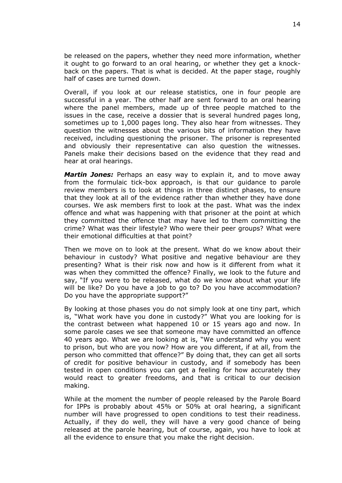be released on the papers, whether they need more information, whether it ought to go forward to an oral hearing, or whether they get a knockback on the papers. That is what is decided. At the paper stage, roughly half of cases are turned down.

Overall, if you look at our release statistics, one in four people are successful in a year. The other half are sent forward to an oral hearing where the panel members, made up of three people matched to the issues in the case, receive a dossier that is several hundred pages long, sometimes up to 1,000 pages long. They also hear from witnesses. They question the witnesses about the various bits of information they have received, including questioning the prisoner. The prisoner is represented and obviously their representative can also question the witnesses. Panels make their decisions based on the evidence that they read and hear at oral hearings.

*Martin Jones:* Perhaps an easy way to explain it, and to move away from the formulaic tick-box approach, is that our guidance to parole review members is to look at things in three distinct phases, to ensure that they look at all of the evidence rather than whether they have done courses. We ask members first to look at the past. What was the index offence and what was happening with that prisoner at the point at which they committed the offence that may have led to them committing the crime? What was their lifestyle? Who were their peer groups? What were their emotional difficulties at that point?

Then we move on to look at the present. What do we know about their behaviour in custody? What positive and negative behaviour are they presenting? What is their risk now and how is it different from what it was when they committed the offence? Finally, we look to the future and say, "If you were to be released, what do we know about what your life will be like? Do you have a job to go to? Do you have accommodation? Do you have the appropriate support?"

By looking at those phases you do not simply look at one tiny part, which is, "What work have you done in custody?" What you are looking for is the contrast between what happened 10 or 15 years ago and now. In some parole cases we see that someone may have committed an offence 40 years ago. What we are looking at is, "We understand why you went to prison, but who are you now? How are you different, if at all, from the person who committed that offence?" By doing that, they can get all sorts of credit for positive behaviour in custody, and if somebody has been tested in open conditions you can get a feeling for how accurately they would react to greater freedoms, and that is critical to our decision making.

While at the moment the number of people released by the Parole Board for IPPs is probably about 45% or 50% at oral hearing, a significant number will have progressed to open conditions to test their readiness. Actually, if they do well, they will have a very good chance of being released at the parole hearing, but of course, again, you have to look at all the evidence to ensure that you make the right decision.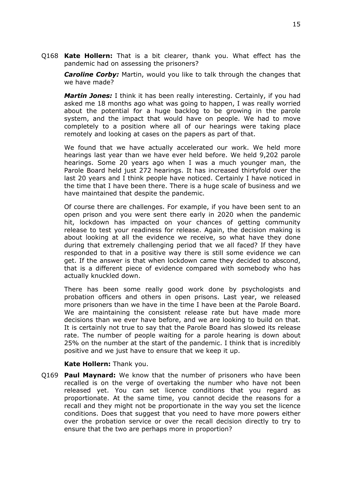Q168 **Kate Hollern:** That is a bit clearer, thank you. What effect has the pandemic had on assessing the prisoners?

*Caroline Corby:* Martin, would you like to talk through the changes that we have made?

*Martin Jones:* I think it has been really interesting. Certainly, if you had asked me 18 months ago what was going to happen, I was really worried about the potential for a huge backlog to be growing in the parole system, and the impact that would have on people. We had to move completely to a position where all of our hearings were taking place remotely and looking at cases on the papers as part of that.

We found that we have actually accelerated our work. We held more hearings last year than we have ever held before. We held 9,202 parole hearings. Some 20 years ago when I was a much younger man, the Parole Board held just 272 hearings. It has increased thirtyfold over the last 20 years and I think people have noticed. Certainly I have noticed in the time that I have been there. There is a huge scale of business and we have maintained that despite the pandemic.

Of course there are challenges. For example, if you have been sent to an open prison and you were sent there early in 2020 when the pandemic hit, lockdown has impacted on your chances of getting community release to test your readiness for release. Again, the decision making is about looking at all the evidence we receive, so what have they done during that extremely challenging period that we all faced? If they have responded to that in a positive way there is still some evidence we can get. If the answer is that when lockdown came they decided to abscond, that is a different piece of evidence compared with somebody who has actually knuckled down.

There has been some really good work done by psychologists and probation officers and others in open prisons. Last year, we released more prisoners than we have in the time I have been at the Parole Board. We are maintaining the consistent release rate but have made more decisions than we ever have before, and we are looking to build on that. It is certainly not true to say that the Parole Board has slowed its release rate. The number of people waiting for a parole hearing is down about 25% on the number at the start of the pandemic. I think that is incredibly positive and we just have to ensure that we keep it up.

#### **Kate Hollern:** Thank you.

Q169 **Paul Maynard:** We know that the number of prisoners who have been recalled is on the verge of overtaking the number who have not been released yet. You can set licence conditions that you regard as proportionate. At the same time, you cannot decide the reasons for a recall and they might not be proportionate in the way you set the licence conditions. Does that suggest that you need to have more powers either over the probation service or over the recall decision directly to try to ensure that the two are perhaps more in proportion?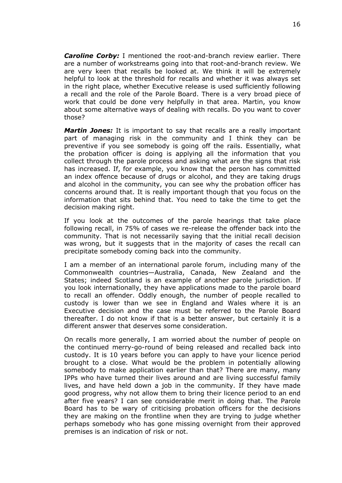*Caroline Corby:* I mentioned the root-and-branch review earlier. There are a number of workstreams going into that root-and-branch review. We are very keen that recalls be looked at. We think it will be extremely helpful to look at the threshold for recalls and whether it was always set in the right place, whether Executive release is used sufficiently following a recall and the role of the Parole Board. There is a very broad piece of work that could be done very helpfully in that area. Martin, you know about some alternative ways of dealing with recalls. Do you want to cover those?

*Martin Jones:* It is important to say that recalls are a really important part of managing risk in the community and I think they can be preventive if you see somebody is going off the rails. Essentially, what the probation officer is doing is applying all the information that you collect through the parole process and asking what are the signs that risk has increased. If, for example, you know that the person has committed an index offence because of drugs or alcohol, and they are taking drugs and alcohol in the community, you can see why the probation officer has concerns around that. It is really important though that you focus on the information that sits behind that. You need to take the time to get the decision making right.

If you look at the outcomes of the parole hearings that take place following recall, in 75% of cases we re-release the offender back into the community. That is not necessarily saying that the initial recall decision was wrong, but it suggests that in the majority of cases the recall can precipitate somebody coming back into the community.

I am a member of an international parole forum, including many of the Commonwealth countries—Australia, Canada, New Zealand and the States; indeed Scotland is an example of another parole jurisdiction. If you look internationally, they have applications made to the parole board to recall an offender. Oddly enough, the number of people recalled to custody is lower than we see in England and Wales where it is an Executive decision and the case must be referred to the Parole Board thereafter. I do not know if that is a better answer, but certainly it is a different answer that deserves some consideration.

On recalls more generally, I am worried about the number of people on the continued merry-go-round of being released and recalled back into custody. It is 10 years before you can apply to have your licence period brought to a close. What would be the problem in potentially allowing somebody to make application earlier than that? There are many, many IPPs who have turned their lives around and are living successful family lives, and have held down a job in the community. If they have made good progress, why not allow them to bring their licence period to an end after five years? I can see considerable merit in doing that. The Parole Board has to be wary of criticising probation officers for the decisions they are making on the frontline when they are trying to judge whether perhaps somebody who has gone missing overnight from their approved premises is an indication of risk or not.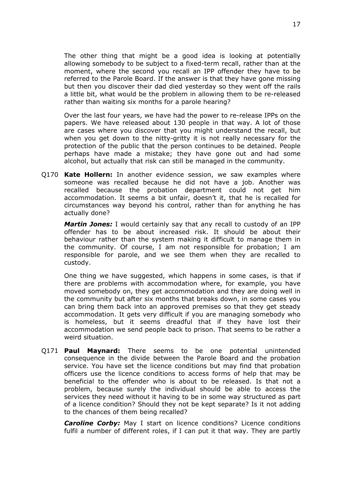The other thing that might be a good idea is looking at potentially allowing somebody to be subject to a fixed-term recall, rather than at the moment, where the second you recall an IPP offender they have to be referred to the Parole Board. If the answer is that they have gone missing but then you discover their dad died yesterday so they went off the rails a little bit, what would be the problem in allowing them to be re-released rather than waiting six months for a parole hearing?

Over the last four years, we have had the power to re-release IPPs on the papers. We have released about 130 people in that way. A lot of those are cases where you discover that you might understand the recall, but when you get down to the nitty-gritty it is not really necessary for the protection of the public that the person continues to be detained. People perhaps have made a mistake; they have gone out and had some alcohol, but actually that risk can still be managed in the community.

Q170 **Kate Hollern:** In another evidence session, we saw examples where someone was recalled because he did not have a job. Another was recalled because the probation department could not get him accommodation. It seems a bit unfair, doesn't it, that he is recalled for circumstances way beyond his control, rather than for anything he has actually done?

*Martin Jones:* I would certainly say that any recall to custody of an IPP offender has to be about increased risk. It should be about their behaviour rather than the system making it difficult to manage them in the community. Of course, I am not responsible for probation; I am responsible for parole, and we see them when they are recalled to custody.

One thing we have suggested, which happens in some cases, is that if there are problems with accommodation where, for example, you have moved somebody on, they get accommodation and they are doing well in the community but after six months that breaks down, in some cases you can bring them back into an approved premises so that they get steady accommodation. It gets very difficult if you are managing somebody who is homeless, but it seems dreadful that if they have lost their accommodation we send people back to prison. That seems to be rather a weird situation.

Q171 **Paul Maynard:** There seems to be one potential unintended consequence in the divide between the Parole Board and the probation service. You have set the licence conditions but may find that probation officers use the licence conditions to access forms of help that may be beneficial to the offender who is about to be released. Is that not a problem, because surely the individual should be able to access the services they need without it having to be in some way structured as part of a licence condition? Should they not be kept separate? Is it not adding to the chances of them being recalled?

*Caroline Corby:* May I start on licence conditions? Licence conditions fulfil a number of different roles, if I can put it that way. They are partly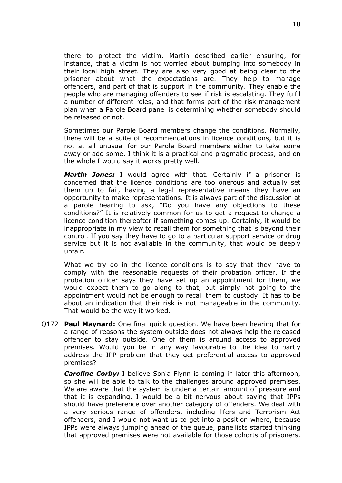there to protect the victim. Martin described earlier ensuring, for instance, that a victim is not worried about bumping into somebody in their local high street. They are also very good at being clear to the prisoner about what the expectations are. They help to manage offenders, and part of that is support in the community. They enable the people who are managing offenders to see if risk is escalating. They fulfil a number of different roles, and that forms part of the risk management plan when a Parole Board panel is determining whether somebody should be released or not.

Sometimes our Parole Board members change the conditions. Normally, there will be a suite of recommendations in licence conditions, but it is not at all unusual for our Parole Board members either to take some away or add some. I think it is a practical and pragmatic process, and on the whole I would say it works pretty well.

*Martin Jones:* I would agree with that. Certainly if a prisoner is concerned that the licence conditions are too onerous and actually set them up to fail, having a legal representative means they have an opportunity to make representations. It is always part of the discussion at a parole hearing to ask, "Do you have any objections to these conditions?" It is relatively common for us to get a request to change a licence condition thereafter if something comes up. Certainly, it would be inappropriate in my view to recall them for something that is beyond their control. If you say they have to go to a particular support service or drug service but it is not available in the community, that would be deeply unfair.

What we try do in the licence conditions is to say that they have to comply with the reasonable requests of their probation officer. If the probation officer says they have set up an appointment for them, we would expect them to go along to that, but simply not going to the appointment would not be enough to recall them to custody. It has to be about an indication that their risk is not manageable in the community. That would be the way it worked.

Q172 **Paul Maynard:** One final quick question. We have been hearing that for a range of reasons the system outside does not always help the released offender to stay outside. One of them is around access to approved premises. Would you be in any way favourable to the idea to partly address the IPP problem that they get preferential access to approved premises?

*Caroline Corby:* I believe Sonia Flynn is coming in later this afternoon, so she will be able to talk to the challenges around approved premises. We are aware that the system is under a certain amount of pressure and that it is expanding. I would be a bit nervous about saying that IPPs should have preference over another category of offenders. We deal with a very serious range of offenders, including lifers and Terrorism Act offenders, and I would not want us to get into a position where, because IPPs were always jumping ahead of the queue, panellists started thinking that approved premises were not available for those cohorts of prisoners.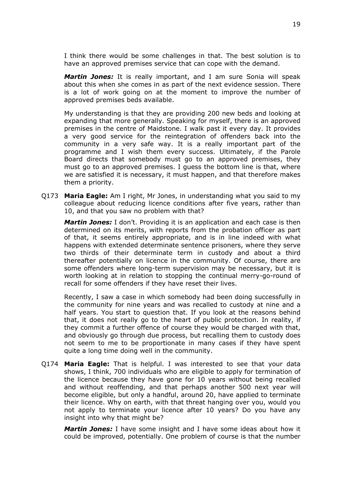I think there would be some challenges in that. The best solution is to have an approved premises service that can cope with the demand.

*Martin Jones:* It is really important, and I am sure Sonia will speak about this when she comes in as part of the next evidence session. There is a lot of work going on at the moment to improve the number of approved premises beds available.

My understanding is that they are providing 200 new beds and looking at expanding that more generally. Speaking for myself, there is an approved premises in the centre of Maidstone. I walk past it every day. It provides a very good service for the reintegration of offenders back into the community in a very safe way. It is a really important part of the programme and I wish them every success. Ultimately, if the Parole Board directs that somebody must go to an approved premises, they must go to an approved premises. I guess the bottom line is that, where we are satisfied it is necessary, it must happen, and that therefore makes them a priority.

Q173 **Maria Eagle:** Am I right, Mr Jones, in understanding what you said to my colleague about reducing licence conditions after five years, rather than 10, and that you saw no problem with that?

*Martin Jones:* I don't. Providing it is an application and each case is then determined on its merits, with reports from the probation officer as part of that, it seems entirely appropriate, and is in line indeed with what happens with extended determinate sentence prisoners, where they serve two thirds of their determinate term in custody and about a third thereafter potentially on licence in the community. Of course, there are some offenders where long-term supervision may be necessary, but it is worth looking at in relation to stopping the continual merry-go-round of recall for some offenders if they have reset their lives.

Recently, I saw a case in which somebody had been doing successfully in the community for nine years and was recalled to custody at nine and a half years. You start to question that. If you look at the reasons behind that, it does not really go to the heart of public protection. In reality, if they commit a further offence of course they would be charged with that, and obviously go through due process, but recalling them to custody does not seem to me to be proportionate in many cases if they have spent quite a long time doing well in the community.

Q174 **Maria Eagle:** That is helpful. I was interested to see that your data shows, I think, 700 individuals who are eligible to apply for termination of the licence because they have gone for 10 years without being recalled and without reoffending, and that perhaps another 500 next year will become eligible, but only a handful, around 20, have applied to terminate their licence. Why on earth, with that threat hanging over you, would you not apply to terminate your licence after 10 years? Do you have any insight into why that might be?

*Martin Jones:* I have some insight and I have some ideas about how it could be improved, potentially. One problem of course is that the number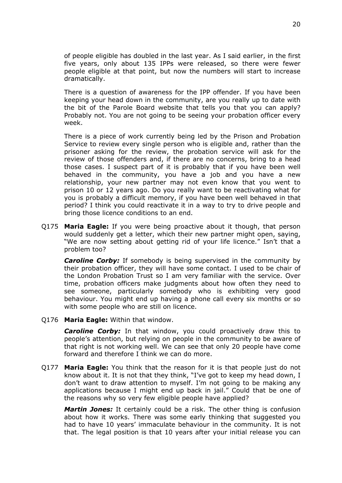of people eligible has doubled in the last year. As I said earlier, in the first five years, only about 135 IPPs were released, so there were fewer people eligible at that point, but now the numbers will start to increase dramatically.

There is a question of awareness for the IPP offender. If you have been keeping your head down in the community, are you really up to date with the bit of the Parole Board website that tells you that you can apply? Probably not. You are not going to be seeing your probation officer every week.

There is a piece of work currently being led by the Prison and Probation Service to review every single person who is eligible and, rather than the prisoner asking for the review, the probation service will ask for the review of those offenders and, if there are no concerns, bring to a head those cases. I suspect part of it is probably that if you have been well behaved in the community, you have a job and you have a new relationship, your new partner may not even know that you went to prison 10 or 12 years ago. Do you really want to be reactivating what for you is probably a difficult memory, if you have been well behaved in that period? I think you could reactivate it in a way to try to drive people and bring those licence conditions to an end.

Q175 **Maria Eagle:** If you were being proactive about it though, that person would suddenly get a letter, which their new partner might open, saying, "We are now setting about getting rid of your life licence." Isn't that a problem too?

*Caroline Corby:* If somebody is being supervised in the community by their probation officer, they will have some contact. I used to be chair of the London Probation Trust so I am very familiar with the service. Over time, probation officers make judgments about how often they need to see someone, particularly somebody who is exhibiting very good behaviour. You might end up having a phone call every six months or so with some people who are still on licence.

Q176 **Maria Eagle:** Within that window.

*Caroline Corby:* In that window, you could proactively draw this to people's attention, but relying on people in the community to be aware of that right is not working well. We can see that only 20 people have come forward and therefore I think we can do more.

Q177 **Maria Eagle:** You think that the reason for it is that people just do not know about it. It is not that they think, "I've got to keep my head down, I don't want to draw attention to myself. I'm not going to be making any applications because I might end up back in jail." Could that be one of the reasons why so very few eligible people have applied?

*Martin Jones:* It certainly could be a risk. The other thing is confusion about how it works. There was some early thinking that suggested you had to have 10 years' immaculate behaviour in the community. It is not that. The legal position is that 10 years after your initial release you can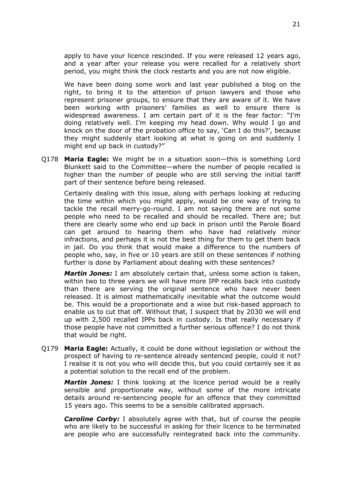apply to have your licence rescinded. If you were released 12 years ago, and a year after your release you were recalled for a relatively short period, you might think the clock restarts and you are not now eligible.

We have been doing some work and last year published a blog on the right, to bring it to the attention of prison lawyers and those who represent prisoner groups, to ensure that they are aware of it. We have been working with prisoners' families as well to ensure there is widespread awareness. I am certain part of it is the fear factor: "I'm doing relatively well. I'm keeping my head down. Why would I go and knock on the door of the probation office to say, 'Can I do this?', because they might suddenly start looking at what is going on and suddenly I might end up back in custody?"

Q178 **Maria Eagle:** We might be in a situation soon—this is something Lord Blunkett said to the Committee—where the number of people recalled is higher than the number of people who are still serving the initial tariff part of their sentence before being released.

Certainly dealing with this issue, along with perhaps looking at reducing the time within which you might apply, would be one way of trying to tackle the recall merry-go-round. I am not saying there are not some people who need to be recalled and should be recalled. There are; but there are clearly some who end up back in prison until the Parole Board can get around to hearing them who have had relatively minor infractions, and perhaps it is not the best thing for them to get them back in jail. Do you think that would make a difference to the numbers of people who, say, in five or 10 years are still on these sentences if nothing further is done by Parliament about dealing with these sentences?

*Martin Jones:* I am absolutely certain that, unless some action is taken, within two to three years we will have more IPP recalls back into custody than there are serving the original sentence who have never been released. It is almost mathematically inevitable what the outcome would be. This would be a proportionate and a wise but risk-based approach to enable us to cut that off. Without that, I suspect that by 2030 we will end up with 2,500 recalled IPPs back in custody. Is that really necessary if those people have not committed a further serious offence? I do not think that would be right.

Q179 **Maria Eagle:** Actually, it could be done without legislation or without the prospect of having to re-sentence already sentenced people, could it not? I realise it is not you who will decide this, but you could certainly see it as a potential solution to the recall end of the problem.

*Martin Jones:* I think looking at the licence period would be a really sensible and proportionate way, without some of the more intricate details around re-sentencing people for an offence that they committed 15 years ago. This seems to be a sensible calibrated approach.

*Caroline Corby:* I absolutely agree with that, but of course the people who are likely to be successful in asking for their licence to be terminated are people who are successfully reintegrated back into the community.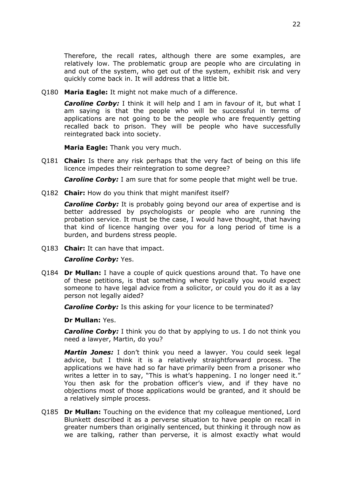Therefore, the recall rates, although there are some examples, are relatively low. The problematic group are people who are circulating in and out of the system, who get out of the system, exhibit risk and very quickly come back in. It will address that a little bit.

Q180 **Maria Eagle:** It might not make much of a difference.

*Caroline Corby:* I think it will help and I am in favour of it, but what I am saying is that the people who will be successful in terms of applications are not going to be the people who are frequently getting recalled back to prison. They will be people who have successfully reintegrated back into society.

**Maria Eagle:** Thank you very much.

Q181 **Chair:** Is there any risk perhaps that the very fact of being on this life licence impedes their reintegration to some degree?

*Caroline Corby:* I am sure that for some people that might well be true.

Q182 **Chair:** How do you think that might manifest itself?

*Caroline Corby:* It is probably going beyond our area of expertise and is better addressed by psychologists or people who are running the probation service. It must be the case, I would have thought, that having that kind of licence hanging over you for a long period of time is a burden, and burdens stress people.

Q183 **Chair:** It can have that impact.

#### *Caroline Corby:* Yes.

Q184 **Dr Mullan:** I have a couple of quick questions around that. To have one of these petitions, is that something where typically you would expect someone to have legal advice from a solicitor, or could you do it as a lay person not legally aided?

*Caroline Corby:* Is this asking for your licence to be terminated?

#### **Dr Mullan:** Yes.

*Caroline Corby:* I think you do that by applying to us. I do not think you need a lawyer, Martin, do you?

*Martin Jones:* I don't think you need a lawyer. You could seek legal advice, but I think it is a relatively straightforward process. The applications we have had so far have primarily been from a prisoner who writes a letter in to say, "This is what's happening. I no longer need it." You then ask for the probation officer's view, and if they have no objections most of those applications would be granted, and it should be a relatively simple process.

Q185 **Dr Mullan:** Touching on the evidence that my colleague mentioned, Lord Blunkett described it as a perverse situation to have people on recall in greater numbers than originally sentenced, but thinking it through now as we are talking, rather than perverse, it is almost exactly what would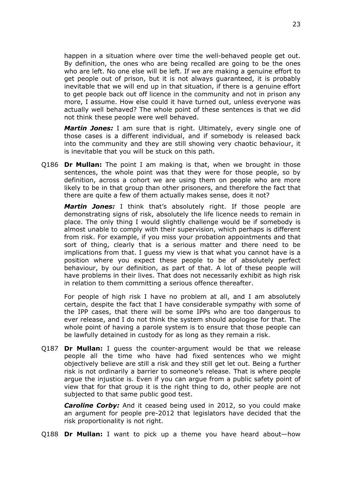happen in a situation where over time the well-behaved people get out. By definition, the ones who are being recalled are going to be the ones who are left. No one else will be left. If we are making a genuine effort to get people out of prison, but it is not always guaranteed, it is probably inevitable that we will end up in that situation, if there is a genuine effort to get people back out off licence in the community and not in prison any more, I assume. How else could it have turned out, unless everyone was actually well behaved? The whole point of these sentences is that we did not think these people were well behaved.

*Martin Jones:* I am sure that is right. Ultimately, every single one of those cases is a different individual, and if somebody is released back into the community and they are still showing very chaotic behaviour, it is inevitable that you will be stuck on this path.

Q186 **Dr Mullan:** The point I am making is that, when we brought in those sentences, the whole point was that they were for those people, so by definition, across a cohort we are using them on people who are more likely to be in that group than other prisoners, and therefore the fact that there are quite a few of them actually makes sense, does it not?

*Martin Jones:* I think that's absolutely right. If those people are demonstrating signs of risk, absolutely the life licence needs to remain in place. The only thing I would slightly challenge would be if somebody is almost unable to comply with their supervision, which perhaps is different from risk. For example, if you miss your probation appointments and that sort of thing, clearly that is a serious matter and there need to be implications from that. I guess my view is that what you cannot have is a position where you expect these people to be of absolutely perfect behaviour, by our definition, as part of that. A lot of these people will have problems in their lives. That does not necessarily exhibit as high risk in relation to them committing a serious offence thereafter.

For people of high risk I have no problem at all, and I am absolutely certain, despite the fact that I have considerable sympathy with some of the IPP cases, that there will be some IPPs who are too dangerous to ever release, and I do not think the system should apologise for that. The whole point of having a parole system is to ensure that those people can be lawfully detained in custody for as long as they remain a risk.

Q187 **Dr Mullan:** I guess the counter-argument would be that we release people all the time who have had fixed sentences who we might objectively believe are still a risk and they still get let out. Being a further risk is not ordinarily a barrier to someone's release. That is where people argue the injustice is. Even if you can argue from a public safety point of view that for that group it is the right thing to do, other people are not subjected to that same public good test.

*Caroline Corby:* And it ceased being used in 2012, so you could make an argument for people pre-2012 that legislators have decided that the risk proportionality is not right.

Q188 **Dr Mullan:** I want to pick up a theme you have heard about—how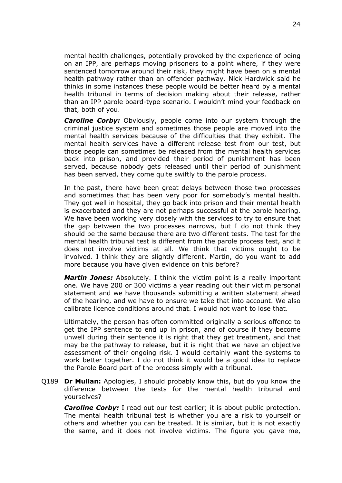mental health challenges, potentially provoked by the experience of being on an IPP, are perhaps moving prisoners to a point where, if they were sentenced tomorrow around their risk, they might have been on a mental health pathway rather than an offender pathway. Nick Hardwick said he thinks in some instances these people would be better heard by a mental health tribunal in terms of decision making about their release, rather than an IPP parole board-type scenario. I wouldn't mind your feedback on that, both of you.

*Caroline Corby:* Obviously, people come into our system through the criminal justice system and sometimes those people are moved into the mental health services because of the difficulties that they exhibit. The mental health services have a different release test from our test, but those people can sometimes be released from the mental health services back into prison, and provided their period of punishment has been served, because nobody gets released until their period of punishment has been served, they come quite swiftly to the parole process.

In the past, there have been great delays between those two processes and sometimes that has been very poor for somebody's mental health. They got well in hospital, they go back into prison and their mental health is exacerbated and they are not perhaps successful at the parole hearing. We have been working very closely with the services to try to ensure that the gap between the two processes narrows, but I do not think they should be the same because there are two different tests. The test for the mental health tribunal test is different from the parole process test, and it does not involve victims at all. We think that victims ought to be involved. I think they are slightly different. Martin, do you want to add more because you have given evidence on this before?

*Martin Jones:* Absolutely. I think the victim point is a really important one. We have 200 or 300 victims a year reading out their victim personal statement and we have thousands submitting a written statement ahead of the hearing, and we have to ensure we take that into account. We also calibrate licence conditions around that. I would not want to lose that.

Ultimately, the person has often committed originally a serious offence to get the IPP sentence to end up in prison, and of course if they become unwell during their sentence it is right that they get treatment, and that may be the pathway to release, but it is right that we have an objective assessment of their ongoing risk. I would certainly want the systems to work better together. I do not think it would be a good idea to replace the Parole Board part of the process simply with a tribunal.

Q189 **Dr Mullan:** Apologies, I should probably know this, but do you know the difference between the tests for the mental health tribunal and yourselves?

*Caroline Corby:* I read out our test earlier; it is about public protection. The mental health tribunal test is whether you are a risk to yourself or others and whether you can be treated. It is similar, but it is not exactly the same, and it does not involve victims. The figure you gave me,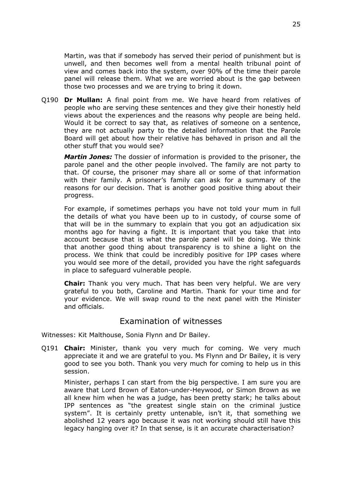Martin, was that if somebody has served their period of punishment but is unwell, and then becomes well from a mental health tribunal point of view and comes back into the system, over 90% of the time their parole panel will release them. What we are worried about is the gap between those two processes and we are trying to bring it down.

Q190 **Dr Mullan:** A final point from me. We have heard from relatives of people who are serving these sentences and they give their honestly held views about the experiences and the reasons why people are being held. Would it be correct to say that, as relatives of someone on a sentence, they are not actually party to the detailed information that the Parole Board will get about how their relative has behaved in prison and all the other stuff that you would see?

*Martin Jones:* The dossier of information is provided to the prisoner, the parole panel and the other people involved. The family are not party to that. Of course, the prisoner may share all or some of that information with their family. A prisoner's family can ask for a summary of the reasons for our decision. That is another good positive thing about their progress.

For example, if sometimes perhaps you have not told your mum in full the details of what you have been up to in custody, of course some of that will be in the summary to explain that you got an adjudication six months ago for having a fight. It is important that you take that into account because that is what the parole panel will be doing. We think that another good thing about transparency is to shine a light on the process. We think that could be incredibly positive for IPP cases where you would see more of the detail, provided you have the right safeguards in place to safeguard vulnerable people.

**Chair:** Thank you very much. That has been very helpful. We are very grateful to you both, Caroline and Martin. Thank for your time and for your evidence. We will swap round to the next panel with the Minister and officials.

# Examination of witnesses

Witnesses: Kit Malthouse, Sonia Flynn and Dr Bailey.

Q191 **Chair:** Minister, thank you very much for coming. We very much appreciate it and we are grateful to you. Ms Flynn and Dr Bailey, it is very good to see you both. Thank you very much for coming to help us in this session.

Minister, perhaps I can start from the big perspective. I am sure you are aware that Lord Brown of Eaton-under-Heywood, or Simon Brown as we all knew him when he was a judge, has been pretty stark; he talks about IPP sentences as "the greatest single stain on the criminal justice system". It is certainly pretty untenable, isn't it, that something we abolished 12 years ago because it was not working should still have this legacy hanging over it? In that sense, is it an accurate characterisation?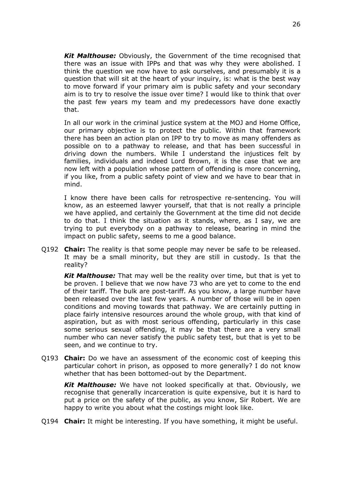*Kit Malthouse:* Obviously, the Government of the time recognised that there was an issue with IPPs and that was why they were abolished. I think the question we now have to ask ourselves, and presumably it is a question that will sit at the heart of your inquiry, is: what is the best way to move forward if your primary aim is public safety and your secondary aim is to try to resolve the issue over time? I would like to think that over the past few years my team and my predecessors have done exactly that.

In all our work in the criminal justice system at the MOJ and Home Office, our primary objective is to protect the public. Within that framework there has been an action plan on IPP to try to move as many offenders as possible on to a pathway to release, and that has been successful in driving down the numbers. While I understand the injustices felt by families, individuals and indeed Lord Brown, it is the case that we are now left with a population whose pattern of offending is more concerning, if you like, from a public safety point of view and we have to bear that in mind.

I know there have been calls for retrospective re-sentencing. You will know, as an esteemed lawyer yourself, that that is not really a principle we have applied, and certainly the Government at the time did not decide to do that. I think the situation as it stands, where, as I say, we are trying to put everybody on a pathway to release, bearing in mind the impact on public safety, seems to me a good balance.

Q192 **Chair:** The reality is that some people may never be safe to be released. It may be a small minority, but they are still in custody. Is that the reality?

*Kit Malthouse:* That may well be the reality over time, but that is yet to be proven. I believe that we now have 73 who are yet to come to the end of their tariff. The bulk are post-tariff. As you know, a large number have been released over the last few years. A number of those will be in open conditions and moving towards that pathway. We are certainly putting in place fairly intensive resources around the whole group, with that kind of aspiration, but as with most serious offending, particularly in this case some serious sexual offending, it may be that there are a very small number who can never satisfy the public safety test, but that is yet to be seen, and we continue to try.

Q193 **Chair:** Do we have an assessment of the economic cost of keeping this particular cohort in prison, as opposed to more generally? I do not know whether that has been bottomed-out by the Department.

*Kit Malthouse:* We have not looked specifically at that. Obviously, we recognise that generally incarceration is quite expensive, but it is hard to put a price on the safety of the public, as you know, Sir Robert. We are happy to write you about what the costings might look like.

Q194 **Chair:** It might be interesting. If you have something, it might be useful.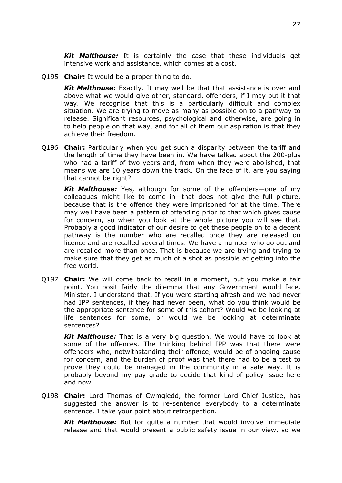*Kit Malthouse:* It is certainly the case that these individuals get intensive work and assistance, which comes at a cost.

Q195 **Chair:** It would be a proper thing to do.

*Kit Malthouse:* Exactly. It may well be that that assistance is over and above what we would give other, standard, offenders, if I may put it that way. We recognise that this is a particularly difficult and complex situation. We are trying to move as many as possible on to a pathway to release. Significant resources, psychological and otherwise, are going in to help people on that way, and for all of them our aspiration is that they achieve their freedom.

Q196 **Chair:** Particularly when you get such a disparity between the tariff and the length of time they have been in. We have talked about the 200-plus who had a tariff of two years and, from when they were abolished, that means we are 10 years down the track. On the face of it, are you saying that cannot be right?

*Kit Malthouse:* Yes, although for some of the offenders—one of my colleagues might like to come in—that does not give the full picture, because that is the offence they were imprisoned for at the time. There may well have been a pattern of offending prior to that which gives cause for concern, so when you look at the whole picture you will see that. Probably a good indicator of our desire to get these people on to a decent pathway is the number who are recalled once they are released on licence and are recalled several times. We have a number who go out and are recalled more than once. That is because we are trying and trying to make sure that they get as much of a shot as possible at getting into the free world.

Q197 **Chair:** We will come back to recall in a moment, but you make a fair point. You posit fairly the dilemma that any Government would face, Minister. I understand that. If you were starting afresh and we had never had IPP sentences, if they had never been, what do you think would be the appropriate sentence for some of this cohort? Would we be looking at life sentences for some, or would we be looking at determinate sentences?

*Kit Malthouse:* That is a very big question. We would have to look at some of the offences. The thinking behind IPP was that there were offenders who, notwithstanding their offence, would be of ongoing cause for concern, and the burden of proof was that there had to be a test to prove they could be managed in the community in a safe way. It is probably beyond my pay grade to decide that kind of policy issue here and now.

Q198 **Chair:** Lord Thomas of Cwmgiedd, the former Lord Chief Justice, has suggested the answer is to re-sentence everybody to a determinate sentence. I take your point about retrospection.

*Kit Malthouse:* But for quite a number that would involve immediate release and that would present a public safety issue in our view, so we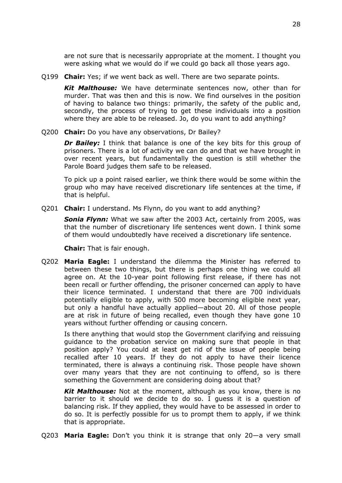are not sure that is necessarily appropriate at the moment. I thought you were asking what we would do if we could go back all those years ago.

Q199 **Chair:** Yes; if we went back as well. There are two separate points.

*Kit Malthouse:* We have determinate sentences now, other than for murder. That was then and this is now. We find ourselves in the position of having to balance two things: primarily, the safety of the public and, secondly, the process of trying to get these individuals into a position where they are able to be released. Jo, do you want to add anything?

Q200 **Chair:** Do you have any observations, Dr Bailey?

*Dr Bailey:* I think that balance is one of the key bits for this group of prisoners. There is a lot of activity we can do and that we have brought in over recent years, but fundamentally the question is still whether the Parole Board judges them safe to be released.

To pick up a point raised earlier, we think there would be some within the group who may have received discretionary life sentences at the time, if that is helpful.

Q201 **Chair:** I understand. Ms Flynn, do you want to add anything?

*Sonia Flynn:* What we saw after the 2003 Act, certainly from 2005, was that the number of discretionary life sentences went down. I think some of them would undoubtedly have received a discretionary life sentence.

**Chair:** That is fair enough.

Q202 **Maria Eagle:** I understand the dilemma the Minister has referred to between these two things, but there is perhaps one thing we could all agree on. At the 10-year point following first release, if there has not been recall or further offending, the prisoner concerned can apply to have their licence terminated. I understand that there are 700 individuals potentially eligible to apply, with 500 more becoming eligible next year, but only a handful have actually applied—about 20. All of those people are at risk in future of being recalled, even though they have gone 10 years without further offending or causing concern.

Is there anything that would stop the Government clarifying and reissuing guidance to the probation service on making sure that people in that position apply? You could at least get rid of the issue of people being recalled after 10 years. If they do not apply to have their licence terminated, there is always a continuing risk. Those people have shown over many years that they are not continuing to offend, so is there something the Government are considering doing about that?

*Kit Malthouse:* Not at the moment, although as you know, there is no barrier to it should we decide to do so. I guess it is a question of balancing risk. If they applied, they would have to be assessed in order to do so. It is perfectly possible for us to prompt them to apply, if we think that is appropriate.

Q203 **Maria Eagle:** Don't you think it is strange that only 20—a very small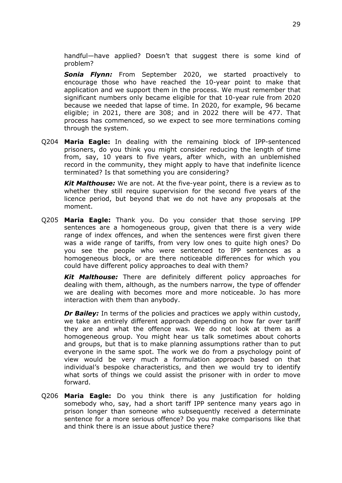handful—have applied? Doesn't that suggest there is some kind of problem?

*Sonia Flynn:* From September 2020, we started proactively to encourage those who have reached the 10-year point to make that application and we support them in the process. We must remember that significant numbers only became eligible for that 10-year rule from 2020 because we needed that lapse of time. In 2020, for example, 96 became eligible; in 2021, there are 308; and in 2022 there will be 477. That process has commenced, so we expect to see more terminations coming through the system.

Q204 **Maria Eagle:** In dealing with the remaining block of IPP-sentenced prisoners, do you think you might consider reducing the length of time from, say, 10 years to five years, after which, with an unblemished record in the community, they might apply to have that indefinite licence terminated? Is that something you are considering?

*Kit Malthouse:* We are not. At the five-year point, there is a review as to whether they still require supervision for the second five years of the licence period, but beyond that we do not have any proposals at the moment.

Q205 **Maria Eagle:** Thank you. Do you consider that those serving IPP sentences are a homogeneous group, given that there is a very wide range of index offences, and when the sentences were first given there was a wide range of tariffs, from very low ones to quite high ones? Do you see the people who were sentenced to IPP sentences as a homogeneous block, or are there noticeable differences for which you could have different policy approaches to deal with them?

*Kit Malthouse:* There are definitely different policy approaches for dealing with them, although, as the numbers narrow, the type of offender we are dealing with becomes more and more noticeable. Jo has more interaction with them than anybody.

*Dr Bailey:* In terms of the policies and practices we apply within custody, we take an entirely different approach depending on how far over tariff they are and what the offence was. We do not look at them as a homogeneous group. You might hear us talk sometimes about cohorts and groups, but that is to make planning assumptions rather than to put everyone in the same spot. The work we do from a psychology point of view would be very much a formulation approach based on that individual's bespoke characteristics, and then we would try to identify what sorts of things we could assist the prisoner with in order to move forward.

Q206 **Maria Eagle:** Do you think there is any justification for holding somebody who, say, had a short tariff IPP sentence many years ago in prison longer than someone who subsequently received a determinate sentence for a more serious offence? Do you make comparisons like that and think there is an issue about justice there?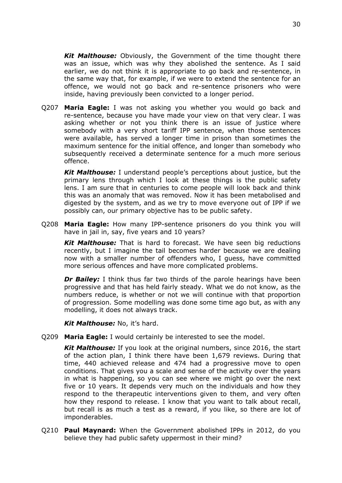*Kit Malthouse:* Obviously, the Government of the time thought there was an issue, which was why they abolished the sentence. As I said earlier, we do not think it is appropriate to go back and re-sentence, in the same way that, for example, if we were to extend the sentence for an offence, we would not go back and re-sentence prisoners who were inside, having previously been convicted to a longer period.

Q207 **Maria Eagle:** I was not asking you whether you would go back and re-sentence, because you have made your view on that very clear. I was asking whether or not you think there is an issue of justice where somebody with a very short tariff IPP sentence, when those sentences were available, has served a longer time in prison than sometimes the maximum sentence for the initial offence, and longer than somebody who subsequently received a determinate sentence for a much more serious offence.

*Kit Malthouse:* I understand people's perceptions about justice, but the primary lens through which I look at these things is the public safety lens. I am sure that in centuries to come people will look back and think this was an anomaly that was removed. Now it has been metabolised and digested by the system, and as we try to move everyone out of IPP if we possibly can, our primary objective has to be public safety.

Q208 **Maria Eagle:** How many IPP-sentence prisoners do you think you will have in jail in, say, five years and 10 years?

*Kit Malthouse:* That is hard to forecast. We have seen big reductions recently, but I imagine the tail becomes harder because we are dealing now with a smaller number of offenders who, I guess, have committed more serious offences and have more complicated problems.

**Dr Bailey:** I think thus far two thirds of the parole hearings have been progressive and that has held fairly steady. What we do not know, as the numbers reduce, is whether or not we will continue with that proportion of progression. Some modelling was done some time ago but, as with any modelling, it does not always track.

*Kit Malthouse:* No, it's hard.

Q209 **Maria Eagle:** I would certainly be interested to see the model.

*Kit Malthouse:* If you look at the original numbers, since 2016, the start of the action plan, I think there have been 1,679 reviews. During that time, 440 achieved release and 474 had a progressive move to open conditions. That gives you a scale and sense of the activity over the years in what is happening, so you can see where we might go over the next five or 10 years. It depends very much on the individuals and how they respond to the therapeutic interventions given to them, and very often how they respond to release. I know that you want to talk about recall, but recall is as much a test as a reward, if you like, so there are lot of imponderables.

Q210 **Paul Maynard:** When the Government abolished IPPs in 2012, do you believe they had public safety uppermost in their mind?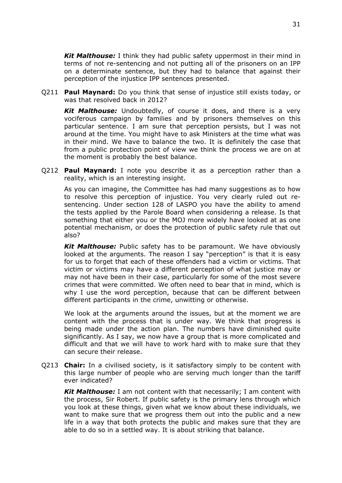*Kit Malthouse:* I think they had public safety uppermost in their mind in terms of not re-sentencing and not putting all of the prisoners on an IPP on a determinate sentence, but they had to balance that against their perception of the injustice IPP sentences presented.

Q211 **Paul Maynard:** Do you think that sense of injustice still exists today, or was that resolved back in 2012?

*Kit Malthouse:* Undoubtedly, of course it does, and there is a very vociferous campaign by families and by prisoners themselves on this particular sentence. I am sure that perception persists, but I was not around at the time. You might have to ask Ministers at the time what was in their mind. We have to balance the two. It is definitely the case that from a public protection point of view we think the process we are on at the moment is probably the best balance.

Q212 **Paul Maynard:** I note you describe it as a perception rather than a reality, which is an interesting insight.

As you can imagine, the Committee has had many suggestions as to how to resolve this perception of injustice. You very clearly ruled out resentencing. Under section 128 of LASPO you have the ability to amend the tests applied by the Parole Board when considering a release. Is that something that either you or the MOJ more widely have looked at as one potential mechanism, or does the protection of public safety rule that out also?

*Kit Malthouse:* Public safety has to be paramount. We have obviously looked at the arguments. The reason I say "perception" is that it is easy for us to forget that each of these offenders had a victim or victims. That victim or victims may have a different perception of what justice may or may not have been in their case, particularly for some of the most severe crimes that were committed. We often need to bear that in mind, which is why I use the word perception, because that can be different between different participants in the crime, unwitting or otherwise.

We look at the arguments around the issues, but at the moment we are content with the process that is under way. We think that progress is being made under the action plan. The numbers have diminished quite significantly. As I say, we now have a group that is more complicated and difficult and that we will have to work hard with to make sure that they can secure their release.

Q213 **Chair:** In a civilised society, is it satisfactory simply to be content with this large number of people who are serving much longer than the tariff ever indicated?

*Kit Malthouse:* I am not content with that necessarily; I am content with the process, Sir Robert. If public safety is the primary lens through which you look at these things, given what we know about these individuals, we want to make sure that we progress them out into the public and a new life in a way that both protects the public and makes sure that they are able to do so in a settled way. It is about striking that balance.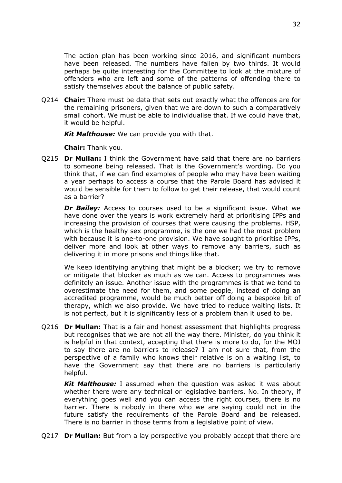The action plan has been working since 2016, and significant numbers have been released. The numbers have fallen by two thirds. It would perhaps be quite interesting for the Committee to look at the mixture of offenders who are left and some of the patterns of offending there to satisfy themselves about the balance of public safety.

Q214 **Chair:** There must be data that sets out exactly what the offences are for the remaining prisoners, given that we are down to such a comparatively small cohort. We must be able to individualise that. If we could have that, it would be helpful.

*Kit Malthouse:* We can provide you with that.

**Chair:** Thank you.

Q215 **Dr Mullan:** I think the Government have said that there are no barriers to someone being released. That is the Government's wording. Do you think that, if we can find examples of people who may have been waiting a year perhaps to access a course that the Parole Board has advised it would be sensible for them to follow to get their release, that would count as a barrier?

**Dr Bailey:** Access to courses used to be a significant issue. What we have done over the years is work extremely hard at prioritising IPPs and increasing the provision of courses that were causing the problems. HSP, which is the healthy sex programme, is the one we had the most problem with because it is one-to-one provision. We have sought to prioritise IPPs, deliver more and look at other ways to remove any barriers, such as delivering it in more prisons and things like that.

We keep identifying anything that might be a blocker; we try to remove or mitigate that blocker as much as we can. Access to programmes was definitely an issue. Another issue with the programmes is that we tend to overestimate the need for them, and some people, instead of doing an accredited programme, would be much better off doing a bespoke bit of therapy, which we also provide. We have tried to reduce waiting lists. It is not perfect, but it is significantly less of a problem than it used to be.

Q216 **Dr Mullan:** That is a fair and honest assessment that highlights progress but recognises that we are not all the way there. Minister, do you think it is helpful in that context, accepting that there is more to do, for the MOJ to say there are no barriers to release? I am not sure that, from the perspective of a family who knows their relative is on a waiting list, to have the Government say that there are no barriers is particularly helpful.

*Kit Malthouse:* I assumed when the question was asked it was about whether there were any technical or legislative barriers. No. In theory, if everything goes well and you can access the right courses, there is no barrier. There is nobody in there who we are saying could not in the future satisfy the requirements of the Parole Board and be released. There is no barrier in those terms from a legislative point of view.

Q217 **Dr Mullan:** But from a lay perspective you probably accept that there are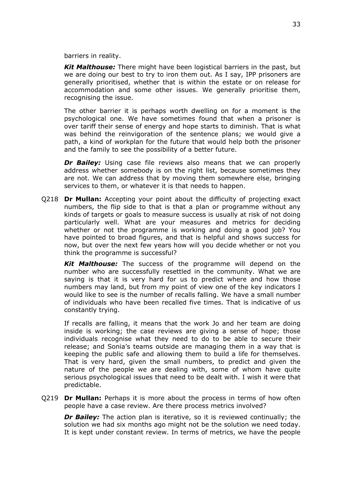barriers in reality.

*Kit Malthouse:* There might have been logistical barriers in the past, but we are doing our best to try to iron them out. As I say, IPP prisoners are generally prioritised, whether that is within the estate or on release for accommodation and some other issues. We generally prioritise them, recognising the issue.

The other barrier it is perhaps worth dwelling on for a moment is the psychological one. We have sometimes found that when a prisoner is over tariff their sense of energy and hope starts to diminish. That is what was behind the reinvigoration of the sentence plans; we would give a path, a kind of workplan for the future that would help both the prisoner and the family to see the possibility of a better future.

*Dr Bailey:* Using case file reviews also means that we can properly address whether somebody is on the right list, because sometimes they are not. We can address that by moving them somewhere else, bringing services to them, or whatever it is that needs to happen.

Q218 **Dr Mullan:** Accepting your point about the difficulty of projecting exact numbers, the flip side to that is that a plan or programme without any kinds of targets or goals to measure success is usually at risk of not doing particularly well. What are your measures and metrics for deciding whether or not the programme is working and doing a good job? You have pointed to broad figures, and that is helpful and shows success for now, but over the next few years how will you decide whether or not you think the programme is successful?

*Kit Malthouse:* The success of the programme will depend on the number who are successfully resettled in the community. What we are saying is that it is very hard for us to predict where and how those numbers may land, but from my point of view one of the key indicators I would like to see is the number of recalls falling. We have a small number of individuals who have been recalled five times. That is indicative of us constantly trying.

If recalls are falling, it means that the work Jo and her team are doing inside is working; the case reviews are giving a sense of hope; those individuals recognise what they need to do to be able to secure their release; and Sonia's teams outside are managing them in a way that is keeping the public safe and allowing them to build a life for themselves. That is very hard, given the small numbers, to predict and given the nature of the people we are dealing with, some of whom have quite serious psychological issues that need to be dealt with. I wish it were that predictable.

Q219 **Dr Mullan:** Perhaps it is more about the process in terms of how often people have a case review. Are there process metrics involved?

*Dr Bailey:* The action plan is iterative, so it is reviewed continually; the solution we had six months ago might not be the solution we need today. It is kept under constant review. In terms of metrics, we have the people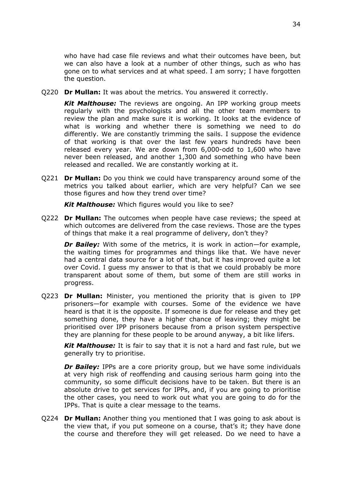who have had case file reviews and what their outcomes have been, but we can also have a look at a number of other things, such as who has gone on to what services and at what speed. I am sorry; I have forgotten the question.

Q220 **Dr Mullan:** It was about the metrics. You answered it correctly.

*Kit Malthouse:* The reviews are ongoing. An IPP working group meets regularly with the psychologists and all the other team members to review the plan and make sure it is working. It looks at the evidence of what is working and whether there is something we need to do differently. We are constantly trimming the sails. I suppose the evidence of that working is that over the last few years hundreds have been released every year. We are down from 6,000-odd to 1,600 who have never been released, and another 1,300 and something who have been released and recalled. We are constantly working at it.

Q221 **Dr Mullan:** Do you think we could have transparency around some of the metrics you talked about earlier, which are very helpful? Can we see those figures and how they trend over time?

*Kit Malthouse:* Which figures would you like to see?

Q222 **Dr Mullan:** The outcomes when people have case reviews; the speed at which outcomes are delivered from the case reviews. Those are the types of things that make it a real programme of delivery, don't they?

*Dr Bailey:* With some of the metrics, it is work in action—for example, the waiting times for programmes and things like that. We have never had a central data source for a lot of that, but it has improved quite a lot over Covid. I guess my answer to that is that we could probably be more transparent about some of them, but some of them are still works in progress.

Q223 **Dr Mullan:** Minister, you mentioned the priority that is given to IPP prisoners—for example with courses. Some of the evidence we have heard is that it is the opposite. If someone is due for release and they get something done, they have a higher chance of leaving; they might be prioritised over IPP prisoners because from a prison system perspective they are planning for these people to be around anyway, a bit like lifers.

*Kit Malthouse:* It is fair to say that it is not a hard and fast rule, but we generally try to prioritise.

**Dr Bailey:** IPPs are a core priority group, but we have some individuals at very high risk of reoffending and causing serious harm going into the community, so some difficult decisions have to be taken. But there is an absolute drive to get services for IPPs, and, if you are going to prioritise the other cases, you need to work out what you are going to do for the IPPs. That is quite a clear message to the teams.

Q224 **Dr Mullan:** Another thing you mentioned that I was going to ask about is the view that, if you put someone on a course, that's it; they have done the course and therefore they will get released. Do we need to have a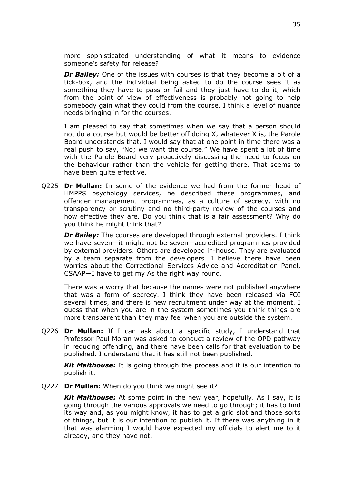more sophisticated understanding of what it means to evidence someone's safety for release?

*Dr Bailey:* One of the issues with courses is that they become a bit of a tick-box, and the individual being asked to do the course sees it as something they have to pass or fail and they just have to do it, which from the point of view of effectiveness is probably not going to help somebody gain what they could from the course. I think a level of nuance needs bringing in for the courses.

I am pleased to say that sometimes when we say that a person should not do a course but would be better off doing X, whatever X is, the Parole Board understands that. I would say that at one point in time there was a real push to say, "No; we want the course." We have spent a lot of time with the Parole Board very proactively discussing the need to focus on the behaviour rather than the vehicle for getting there. That seems to have been quite effective.

Q225 **Dr Mullan:** In some of the evidence we had from the former head of HMPPS psychology services, he described these programmes, and offender management programmes, as a culture of secrecy, with no transparency or scrutiny and no third-party review of the courses and how effective they are. Do you think that is a fair assessment? Why do you think he might think that?

*Dr Bailey:* The courses are developed through external providers. I think we have seven—it might not be seven—accredited programmes provided by external providers. Others are developed in-house. They are evaluated by a team separate from the developers. I believe there have been worries about the Correctional Services Advice and Accreditation Panel, CSAAP—I have to get my As the right way round.

There was a worry that because the names were not published anywhere that was a form of secrecy. I think they have been released via FOI several times, and there is new recruitment under way at the moment. I guess that when you are in the system sometimes you think things are more transparent than they may feel when you are outside the system.

Q226 **Dr Mullan:** If I can ask about a specific study, I understand that Professor Paul Moran was asked to conduct a review of the OPD pathway in reducing offending, and there have been calls for that evaluation to be published. I understand that it has still not been published.

*Kit Malthouse:* It is going through the process and it is our intention to publish it.

Q227 **Dr Mullan:** When do you think we might see it?

*Kit Malthouse:* At some point in the new year, hopefully. As I say, it is going through the various approvals we need to go through; it has to find its way and, as you might know, it has to get a grid slot and those sorts of things, but it is our intention to publish it. If there was anything in it that was alarming I would have expected my officials to alert me to it already, and they have not.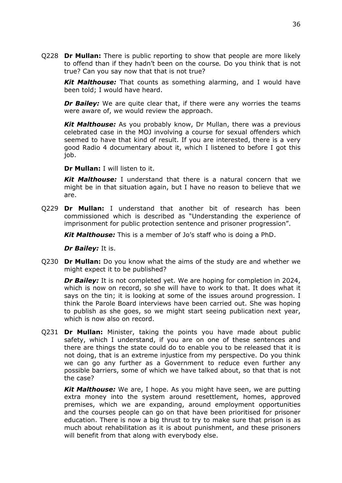Q228 **Dr Mullan:** There is public reporting to show that people are more likely to offend than if they hadn't been on the course*.* Do you think that is not true? Can you say now that that is not true?

*Kit Malthouse:* That counts as something alarming, and I would have been told; I would have heard.

*Dr Bailey:* We are quite clear that, if there were any worries the teams were aware of, we would review the approach.

*Kit Malthouse:* As you probably know, Dr Mullan, there was a previous celebrated case in the MOJ involving a course for sexual offenders which seemed to have that kind of result. If you are interested, there is a very good Radio 4 documentary about it, which I listened to before I got this job.

**Dr Mullan:** I will listen to it.

*Kit Malthouse:* I understand that there is a natural concern that we might be in that situation again, but I have no reason to believe that we are.

Q229 **Dr Mullan:** I understand that another bit of research has been commissioned which is described as "Understanding the experience of imprisonment for public protection sentence and prisoner progression".

*Kit Malthouse:* This is a member of Jo's staff who is doing a PhD.

*Dr Bailey:* It is.

Q230 **Dr Mullan:** Do you know what the aims of the study are and whether we might expect it to be published?

*Dr Bailey:* It is not completed yet. We are hoping for completion in 2024, which is now on record, so she will have to work to that. It does what it says on the tin; it is looking at some of the issues around progression. I think the Parole Board interviews have been carried out. She was hoping to publish as she goes, so we might start seeing publication next year, which is now also on record.

Q231 **Dr Mullan:** Minister, taking the points you have made about public safety, which I understand, if you are on one of these sentences and there are things the state could do to enable you to be released that it is not doing, that is an extreme injustice from my perspective. Do you think we can go any further as a Government to reduce even further any possible barriers, some of which we have talked about, so that that is not the case?

*Kit Malthouse:* We are, I hope. As you might have seen, we are putting extra money into the system around resettlement, homes, approved premises, which we are expanding, around employment opportunities and the courses people can go on that have been prioritised for prisoner education. There is now a big thrust to try to make sure that prison is as much about rehabilitation as it is about punishment, and these prisoners will benefit from that along with everybody else.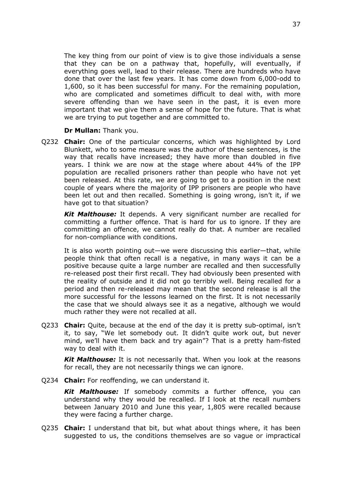The key thing from our point of view is to give those individuals a sense that they can be on a pathway that, hopefully, will eventually, if everything goes well, lead to their release. There are hundreds who have done that over the last few years. It has come down from 6,000-odd to 1,600, so it has been successful for many. For the remaining population, who are complicated and sometimes difficult to deal with, with more severe offending than we have seen in the past, it is even more important that we give them a sense of hope for the future. That is what we are trying to put together and are committed to.

**Dr Mullan:** Thank you.

Q232 **Chair:** One of the particular concerns, which was highlighted by Lord Blunkett, who to some measure was the author of these sentences, is the way that recalls have increased; they have more than doubled in five years. I think we are now at the stage where about 44% of the IPP population are recalled prisoners rather than people who have not yet been released. At this rate, we are going to get to a position in the next couple of years where the majority of IPP prisoners are people who have been let out and then recalled. Something is going wrong, isn't it, if we have got to that situation?

*Kit Malthouse:* It depends. A very significant number are recalled for committing a further offence. That is hard for us to ignore. If they are committing an offence, we cannot really do that. A number are recalled for non-compliance with conditions.

It is also worth pointing out—we were discussing this earlier—that, while people think that often recall is a negative, in many ways it can be a positive because quite a large number are recalled and then successfully re-released post their first recall. They had obviously been presented with the reality of outside and it did not go terribly well. Being recalled for a period and then re-released may mean that the second release is all the more successful for the lessons learned on the first. It is not necessarily the case that we should always see it as a negative, although we would much rather they were not recalled at all.

Q233 **Chair:** Quite, because at the end of the day it is pretty sub-optimal, isn't it, to say, "We let somebody out. It didn't quite work out, but never mind, we'll have them back and try again"? That is a pretty ham-fisted way to deal with it.

*Kit Malthouse:* It is not necessarily that. When you look at the reasons for recall, they are not necessarily things we can ignore.

Q234 **Chair:** For reoffending, we can understand it.

*Kit Malthouse:* If somebody commits a further offence, you can understand why they would be recalled. If I look at the recall numbers between January 2010 and June this year, 1,805 were recalled because they were facing a further charge.

Q235 **Chair:** I understand that bit, but what about things where, it has been suggested to us, the conditions themselves are so vague or impractical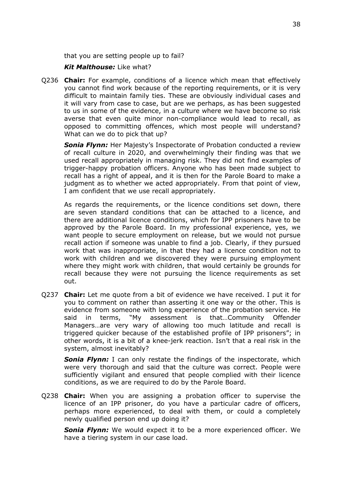that you are setting people up to fail?

#### *Kit Malthouse:* Like what?

Q236 **Chair:** For example, conditions of a licence which mean that effectively you cannot find work because of the reporting requirements, or it is very difficult to maintain family ties. These are obviously individual cases and it will vary from case to case, but are we perhaps, as has been suggested to us in some of the evidence, in a culture where we have become so risk averse that even quite minor non-compliance would lead to recall, as opposed to committing offences, which most people will understand? What can we do to pick that up?

**Sonia Flynn:** Her Majesty's Inspectorate of Probation conducted a review of recall culture in 2020, and overwhelmingly their finding was that we used recall appropriately in managing risk. They did not find examples of trigger-happy probation officers. Anyone who has been made subject to recall has a right of appeal, and it is then for the Parole Board to make a judgment as to whether we acted appropriately. From that point of view, I am confident that we use recall appropriately.

As regards the requirements, or the licence conditions set down, there are seven standard conditions that can be attached to a licence, and there are additional licence conditions, which for IPP prisoners have to be approved by the Parole Board. In my professional experience, yes, we want people to secure employment on release, but we would not pursue recall action if someone was unable to find a job. Clearly, if they pursued work that was inappropriate, in that they had a licence condition not to work with children and we discovered they were pursuing employment where they might work with children, that would certainly be grounds for recall because they were not pursuing the licence requirements as set out.

Q237 **Chair:** Let me quote from a bit of evidence we have received. I put it for you to comment on rather than asserting it one way or the other. This is evidence from someone with long experience of the probation service. He said in terms, "My assessment is that…Community Offender Managers…are very wary of allowing too much latitude and recall is triggered quicker because of the established profile of IPP prisoners"; in other words, it is a bit of a knee-jerk reaction. Isn't that a real risk in the system, almost inevitably?

*Sonia Flynn:* I can only restate the findings of the inspectorate, which were very thorough and said that the culture was correct. People were sufficiently vigilant and ensured that people complied with their licence conditions, as we are required to do by the Parole Board.

Q238 **Chair:** When you are assigning a probation officer to supervise the licence of an IPP prisoner, do you have a particular cadre of officers, perhaps more experienced, to deal with them, or could a completely newly qualified person end up doing it?

*Sonia Flynn:* We would expect it to be a more experienced officer. We have a tiering system in our case load.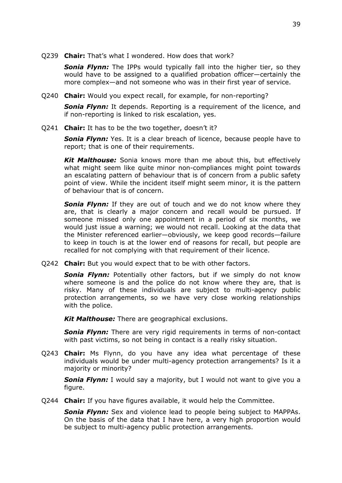Q239 **Chair:** That's what I wondered. How does that work?

**Sonia Flynn:** The IPPs would typically fall into the higher tier, so they would have to be assigned to a qualified probation officer—certainly the more complex—and not someone who was in their first year of service.

Q240 **Chair:** Would you expect recall, for example, for non-reporting?

*Sonia Flynn:* It depends. Reporting is a requirement of the licence, and if non-reporting is linked to risk escalation, yes.

Q241 **Chair:** It has to be the two together, doesn't it?

**Sonia Flynn:** Yes. It is a clear breach of licence, because people have to report; that is one of their requirements.

*Kit Malthouse:* Sonia knows more than me about this, but effectively what might seem like quite minor non-compliances might point towards an escalating pattern of behaviour that is of concern from a public safety point of view. While the incident itself might seem minor, it is the pattern of behaviour that is of concern.

*Sonia Flynn:* If they are out of touch and we do not know where they are, that is clearly a major concern and recall would be pursued. If someone missed only one appointment in a period of six months, we would just issue a warning; we would not recall. Looking at the data that the Minister referenced earlier—obviously, we keep good records—failure to keep in touch is at the lower end of reasons for recall, but people are recalled for not complying with that requirement of their licence.

Q242 **Chair:** But you would expect that to be with other factors.

**Sonia Flynn:** Potentially other factors, but if we simply do not know where someone is and the police do not know where they are, that is risky. Many of these individuals are subject to multi-agency public protection arrangements, so we have very close working relationships with the police.

*Kit Malthouse:* There are geographical exclusions.

*Sonia Flynn:* There are very rigid requirements in terms of non-contact with past victims, so not being in contact is a really risky situation.

Q243 **Chair:** Ms Flynn, do you have any idea what percentage of these individuals would be under multi-agency protection arrangements? Is it a majority or minority?

*Sonia Flynn:* I would say a majority, but I would not want to give you a figure.

Q244 **Chair:** If you have figures available, it would help the Committee.

*Sonia Flynn:* Sex and violence lead to people being subject to MAPPAs. On the basis of the data that I have here, a very high proportion would be subject to multi-agency public protection arrangements.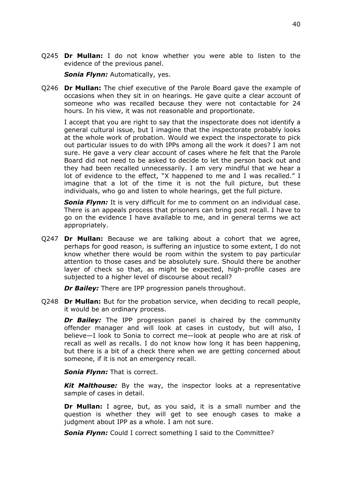Q245 **Dr Mullan:** I do not know whether you were able to listen to the evidence of the previous panel.

*Sonia Flynn:* Automatically, yes.

Q246 **Dr Mullan:** The chief executive of the Parole Board gave the example of occasions when they sit in on hearings. He gave quite a clear account of someone who was recalled because they were not contactable for 24 hours. In his view, it was not reasonable and proportionate.

I accept that you are right to say that the inspectorate does not identify a general cultural issue, but I imagine that the inspectorate probably looks at the whole work of probation. Would we expect the inspectorate to pick out particular issues to do with IPPs among all the work it does? I am not sure. He gave a very clear account of cases where he felt that the Parole Board did not need to be asked to decide to let the person back out and they had been recalled unnecessarily. I am very mindful that we hear a lot of evidence to the effect, "X happened to me and I was recalled." I imagine that a lot of the time it is not the full picture, but these individuals, who go and listen to whole hearings, get the full picture.

*Sonia Flynn:* It is very difficult for me to comment on an individual case. There is an appeals process that prisoners can bring post recall. I have to go on the evidence I have available to me, and in general terms we act appropriately.

Q247 **Dr Mullan:** Because we are talking about a cohort that we agree, perhaps for good reason, is suffering an injustice to some extent, I do not know whether there would be room within the system to pay particular attention to those cases and be absolutely sure. Should there be another layer of check so that, as might be expected, high-profile cases are subjected to a higher level of discourse about recall?

*Dr Bailey:* There are IPP progression panels throughout.

Q248 **Dr Mullan:** But for the probation service, when deciding to recall people, it would be an ordinary process.

*Dr Bailey:* The IPP progression panel is chaired by the community offender manager and will look at cases in custody, but will also, I believe—I look to Sonia to correct me—look at people who are at risk of recall as well as recalls. I do not know how long it has been happening, but there is a bit of a check there when we are getting concerned about someone, if it is not an emergency recall.

*Sonia Flynn:* That is correct.

*Kit Malthouse:* By the way, the inspector looks at a representative sample of cases in detail.

**Dr Mullan:** I agree, but, as you said, it is a small number and the question is whether they will get to see enough cases to make a judgment about IPP as a whole. I am not sure.

**Sonia Flynn:** Could I correct something I said to the Committee?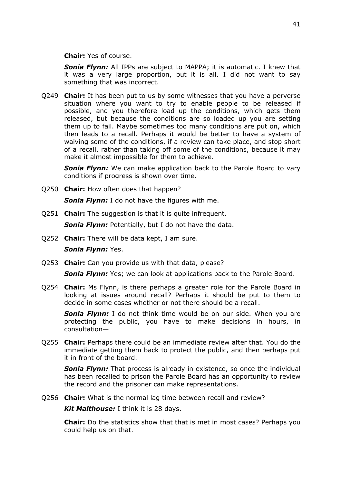**Chair:** Yes of course.

*Sonia Flynn:* All IPPs are subject to MAPPA; it is automatic. I knew that it was a very large proportion, but it is all. I did not want to say something that was incorrect.

Q249 **Chair:** It has been put to us by some witnesses that you have a perverse situation where you want to try to enable people to be released if possible, and you therefore load up the conditions, which gets them released, but because the conditions are so loaded up you are setting them up to fail. Maybe sometimes too many conditions are put on, which then leads to a recall. Perhaps it would be better to have a system of waiving some of the conditions, if a review can take place, and stop short of a recall, rather than taking off some of the conditions, because it may make it almost impossible for them to achieve.

**Sonia Flynn:** We can make application back to the Parole Board to vary conditions if progress is shown over time.

Q250 **Chair:** How often does that happen?

*Sonia Flynn:* I do not have the figures with me.

Q251 **Chair:** The suggestion is that it is quite infrequent.

*Sonia Flynn:* Potentially, but I do not have the data.

Q252 **Chair:** There will be data kept, I am sure.

*Sonia Flynn:* Yes.

Q253 **Chair:** Can you provide us with that data, please?

**Sonia Flynn:** Yes; we can look at applications back to the Parole Board.

Q254 **Chair:** Ms Flynn, is there perhaps a greater role for the Parole Board in looking at issues around recall? Perhaps it should be put to them to decide in some cases whether or not there should be a recall.

*Sonia Flynn:* I do not think time would be on our side. When you are protecting the public, you have to make decisions in hours, in consultation—

Q255 **Chair:** Perhaps there could be an immediate review after that. You do the immediate getting them back to protect the public, and then perhaps put it in front of the board.

**Sonia Flynn:** That process is already in existence, so once the individual has been recalled to prison the Parole Board has an opportunity to review the record and the prisoner can make representations.

Q256 **Chair:** What is the normal lag time between recall and review?

*Kit Malthouse:* I think it is 28 days.

**Chair:** Do the statistics show that that is met in most cases? Perhaps you could help us on that.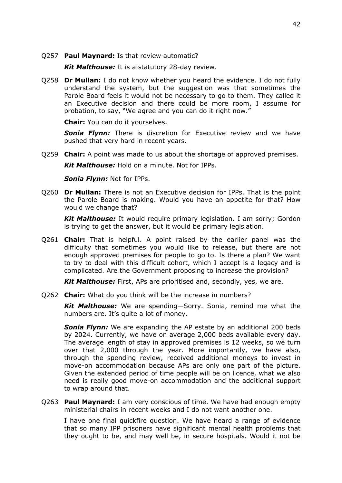#### Q257 **Paul Maynard:** Is that review automatic?

*Kit Malthouse:* It is a statutory 28-day review.

Q258 **Dr Mullan:** I do not know whether you heard the evidence. I do not fully understand the system, but the suggestion was that sometimes the Parole Board feels it would not be necessary to go to them. They called it an Executive decision and there could be more room, I assume for probation, to say, "We agree and you can do it right now."

**Chair:** You can do it yourselves.

*Sonia Flynn:* There is discretion for Executive review and we have pushed that very hard in recent years.

Q259 **Chair:** A point was made to us about the shortage of approved premises.

*Kit Malthouse:* Hold on a minute. Not for IPPs.

*Sonia Flynn:* Not for IPPs.

Q260 **Dr Mullan:** There is not an Executive decision for IPPs. That is the point the Parole Board is making. Would you have an appetite for that? How would we change that?

*Kit Malthouse:* It would require primary legislation. I am sorry; Gordon is trying to get the answer, but it would be primary legislation.

Q261 **Chair:** That is helpful. A point raised by the earlier panel was the difficulty that sometimes you would like to release, but there are not enough approved premises for people to go to. Is there a plan? We want to try to deal with this difficult cohort, which I accept is a legacy and is complicated. Are the Government proposing to increase the provision?

*Kit Malthouse:* First, APs are prioritised and, secondly, yes, we are.

Q262 **Chair:** What do you think will be the increase in numbers?

*Kit Malthouse:* We are spending—Sorry. Sonia, remind me what the numbers are. It's quite a lot of money.

**Sonia Flynn:** We are expanding the AP estate by an additional 200 beds by 2024. Currently, we have on average 2,000 beds available every day. The average length of stay in approved premises is 12 weeks, so we turn over that 2,000 through the year. More importantly, we have also, through the spending review, received additional moneys to invest in move-on accommodation because APs are only one part of the picture. Given the extended period of time people will be on licence, what we also need is really good move-on accommodation and the additional support to wrap around that.

Q263 **Paul Maynard:** I am very conscious of time. We have had enough empty ministerial chairs in recent weeks and I do not want another one.

I have one final quickfire question. We have heard a range of evidence that so many IPP prisoners have significant mental health problems that they ought to be, and may well be, in secure hospitals. Would it not be